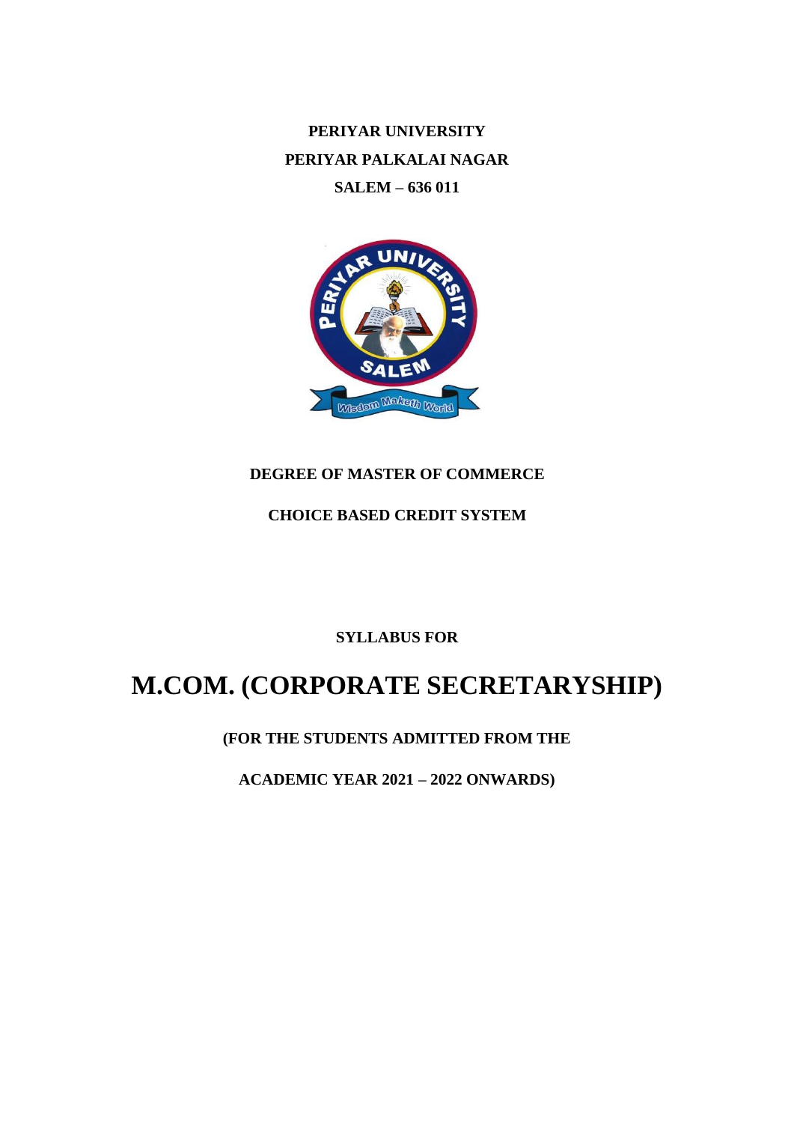**PERIYAR UNIVERSITY PERIYAR PALKALAI NAGAR SALEM – 636 011**



# **DEGREE OF MASTER OF COMMERCE**

## **CHOICE BASED CREDIT SYSTEM**

## **SYLLABUS FOR**

# **M.COM. (CORPORATE SECRETARYSHIP)**

# **(FOR THE STUDENTS ADMITTED FROM THE**

**ACADEMIC YEAR 2021 – 2022 ONWARDS)**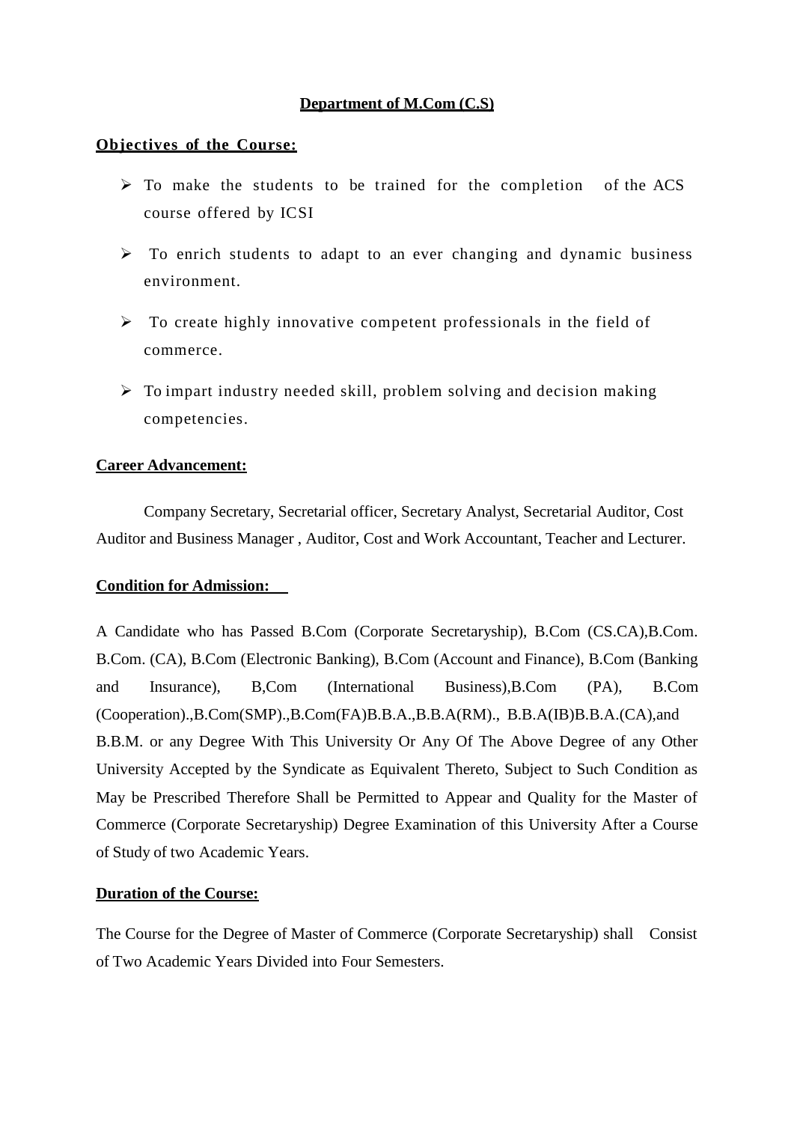#### **Department of M.Com (C.S)**

#### **Objectives of the Course:**

- $\triangleright$  To make the students to be trained for the completion of the ACS course offered by ICSI
- $\triangleright$  To enrich students to adapt to an ever changing and dynamic business environment.
- $\triangleright$  To create highly innovative competent professionals in the field of commerce.
- $\triangleright$  To impart industry needed skill, problem solving and decision making competencies.

#### **Career Advancement:**

Company Secretary, Secretarial officer, Secretary Analyst, Secretarial Auditor, Cost Auditor and Business Manager , Auditor, Cost and Work Accountant, Teacher and Lecturer.

#### **Condition for Admission:**

A Candidate who has Passed B.Com (Corporate Secretaryship), B.Com (CS.CA),B.Com. B.Com. (CA), B.Com (Electronic Banking), B.Com (Account and Finance), B.Com (Banking and Insurance), B,Com (International Business),B.Com (PA), B.Com (Cooperation).,B.Com(SMP).,B.Com(FA)B.B.A.,B.B.A(RM)., B.B.A(IB)B.B.A.(CA),and B.B.M. or any Degree With This University Or Any Of The Above Degree of any Other University Accepted by the Syndicate as Equivalent Thereto, Subject to Such Condition as May be Prescribed Therefore Shall be Permitted to Appear and Quality for the Master of Commerce (Corporate Secretaryship) Degree Examination of this University After a Course of Study of two Academic Years.

#### **Duration of the Course:**

The Course for the Degree of Master of Commerce (Corporate Secretaryship) shall Consist of Two Academic Years Divided into Four Semesters.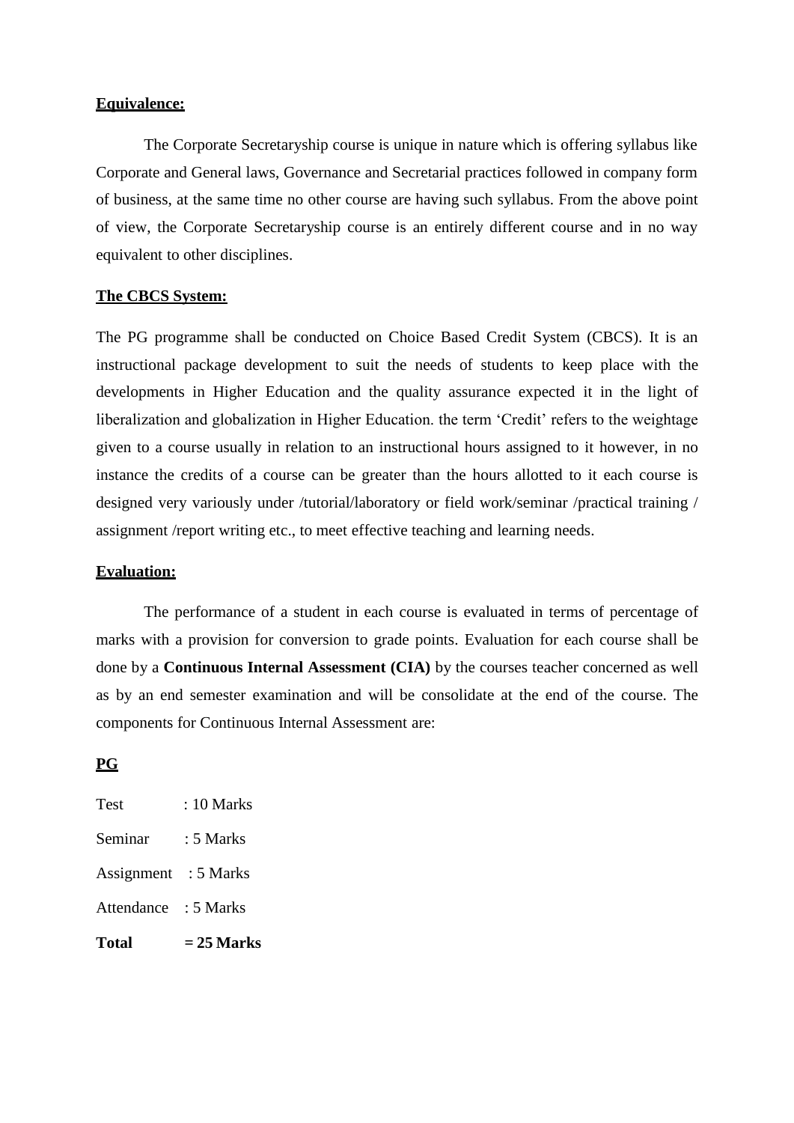#### **Equivalence:**

The Corporate Secretaryship course is unique in nature which is offering syllabus like Corporate and General laws, Governance and Secretarial practices followed in company form of business, at the same time no other course are having such syllabus. From the above point of view, the Corporate Secretaryship course is an entirely different course and in no way equivalent to other disciplines.

#### **The CBCS System:**

The PG programme shall be conducted on Choice Based Credit System (CBCS). It is an instructional package development to suit the needs of students to keep place with the developments in Higher Education and the quality assurance expected it in the light of liberalization and globalization in Higher Education. the term 'Credit' refers to the weightage given to a course usually in relation to an instructional hours assigned to it however, in no instance the credits of a course can be greater than the hours allotted to it each course is designed very variously under /tutorial/laboratory or field work/seminar /practical training / assignment /report writing etc., to meet effective teaching and learning needs.

#### **Evaluation:**

The performance of a student in each course is evaluated in terms of percentage of marks with a provision for conversion to grade points. Evaluation for each course shall be done by a **Continuous Internal Assessment (CIA)** by the courses teacher concerned as well as by an end semester examination and will be consolidate at the end of the course. The components for Continuous Internal Assessment are:

#### **PG**

| <b>Test</b>          | : 10 Marks  |
|----------------------|-------------|
| Seminar              | : 5 Marks   |
| Assignment           | $: 5$ Marks |
| Attendance : 5 Marks |             |
| Total                | = 25 Marks  |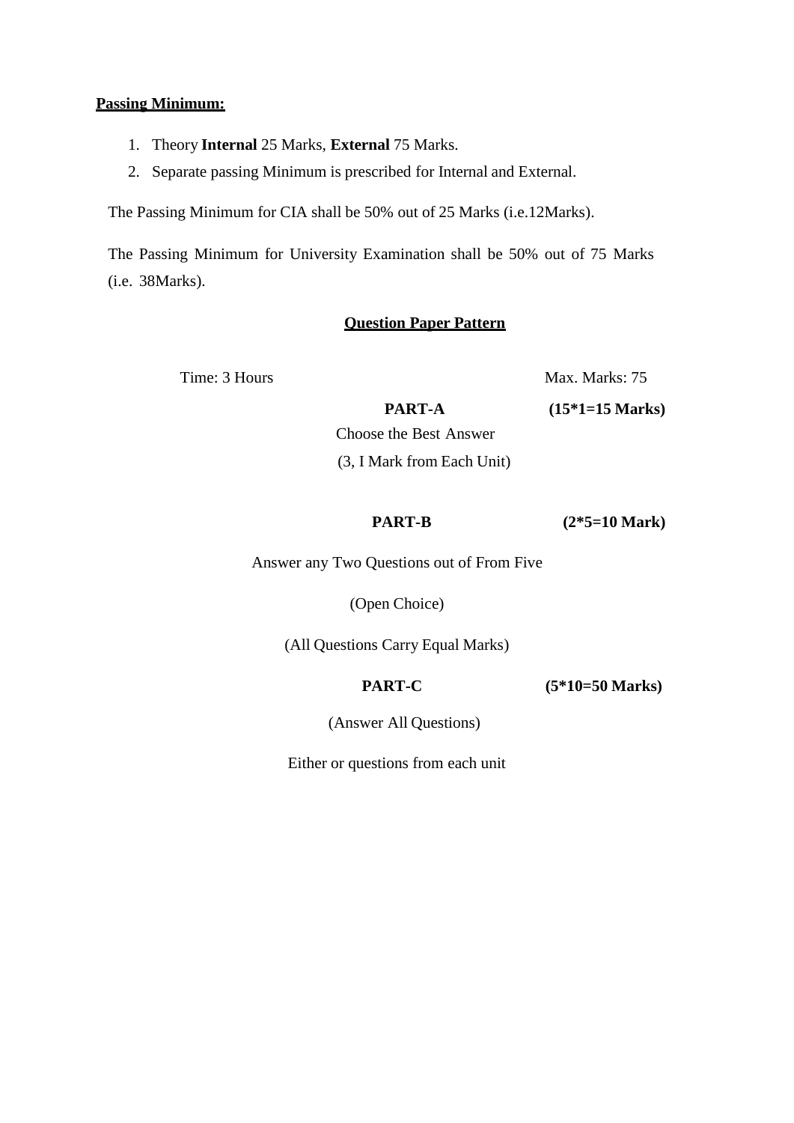#### **Passing Minimum:**

- 1. Theory **Internal** 25 Marks, **External** 75 Marks.
- 2. Separate passing Minimum is prescribed for Internal and External.

The Passing Minimum for CIA shall be 50% out of 25 Marks (i.e.12Marks).

The Passing Minimum for University Examination shall be 50% out of 75 Marks (i.e. 38Marks).

#### **Question Paper Pattern**

Time: 3 Hours Max. Marks: 75

**PART-A (15\*1=15 Marks)**

Choose the Best Answer (3, I Mark from Each Unit)

 **PART-B (2\*5=10 Mark)**

Answer any Two Questions out of From Five

(Open Choice)

(All Questions Carry Equal Marks)

**PART-C (5\*10=50 Marks)**

(Answer All Questions)

Either or questions from each unit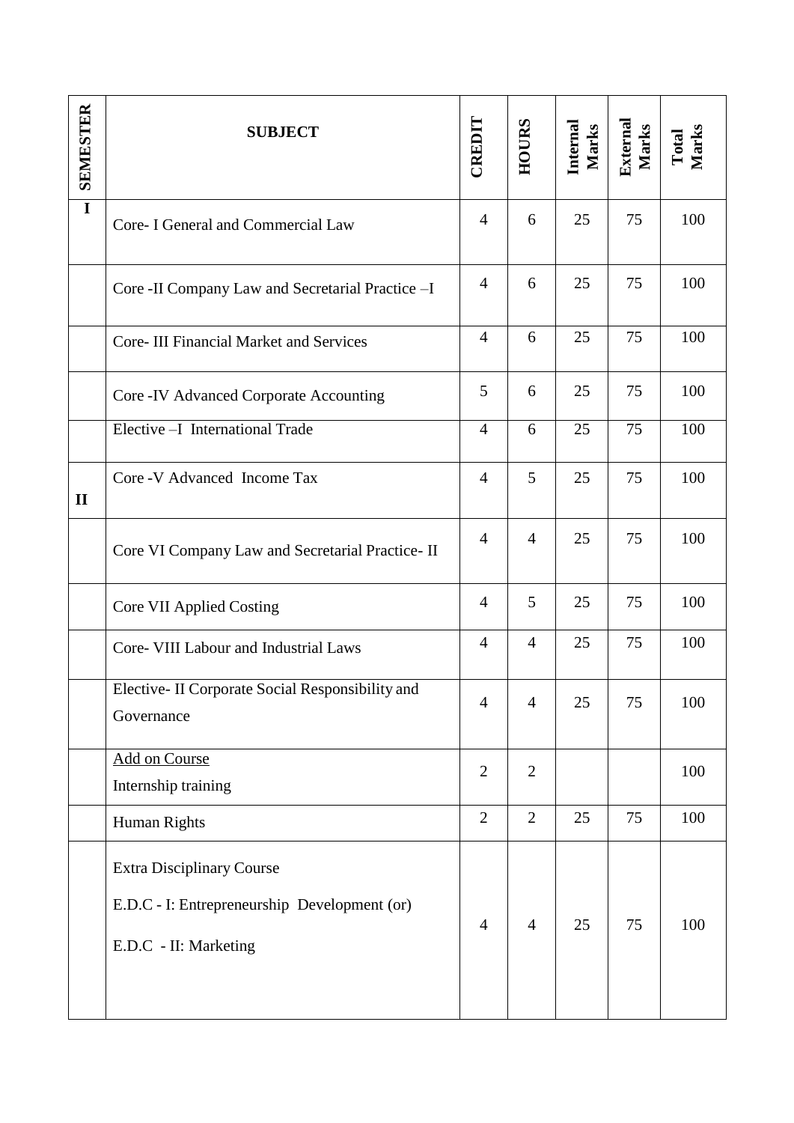| <b>SEMESTER</b> | <b>SUBJECT</b>                                                                                            | CREDIT         | HOURS          | Internal<br><b>Marks</b> | External<br>Marks | Total<br>Marks |
|-----------------|-----------------------------------------------------------------------------------------------------------|----------------|----------------|--------------------------|-------------------|----------------|
| $\overline{I}$  | Core- I General and Commercial Law                                                                        | $\overline{4}$ | 6              | 25                       | 75                | 100            |
|                 | Core -II Company Law and Secretarial Practice -I                                                          | $\overline{4}$ | 6              | 25                       | 75                | 100            |
|                 | <b>Core-III Financial Market and Services</b>                                                             | $\overline{4}$ | 6              | 25                       | 75                | 100            |
|                 | Core - IV Advanced Corporate Accounting                                                                   | 5              | 6              | 25                       | 75                | 100            |
|                 | Elective - I International Trade                                                                          | $\overline{4}$ | 6              | 25                       | 75                | 100            |
| $\mathbf{I}$    | Core - V Advanced Income Tax                                                                              | $\overline{4}$ | 5              | 25                       | 75                | 100            |
|                 | Core VI Company Law and Secretarial Practice- II                                                          | $\overline{4}$ | $\overline{4}$ | 25                       | 75                | 100            |
|                 | Core VII Applied Costing                                                                                  | $\overline{4}$ | 5              | 25                       | 75                | 100            |
|                 | Core- VIII Labour and Industrial Laws                                                                     | $\overline{4}$ | $\overline{4}$ | 25                       | 75                | 100            |
|                 | Elective- II Corporate Social Responsibility and<br>Governance                                            |                | $\overline{4}$ | 25                       | 75                | 100            |
|                 | Add on Course<br>Internship training                                                                      | $\overline{2}$ | $\overline{2}$ |                          |                   | 100            |
|                 | Human Rights                                                                                              |                | $\overline{2}$ | 25                       | 75                | 100            |
|                 | <b>Extra Disciplinary Course</b><br>E.D.C - I: Entrepreneurship Development (or)<br>E.D.C - II: Marketing | $\overline{4}$ | $\overline{4}$ | 25                       | 75                | 100            |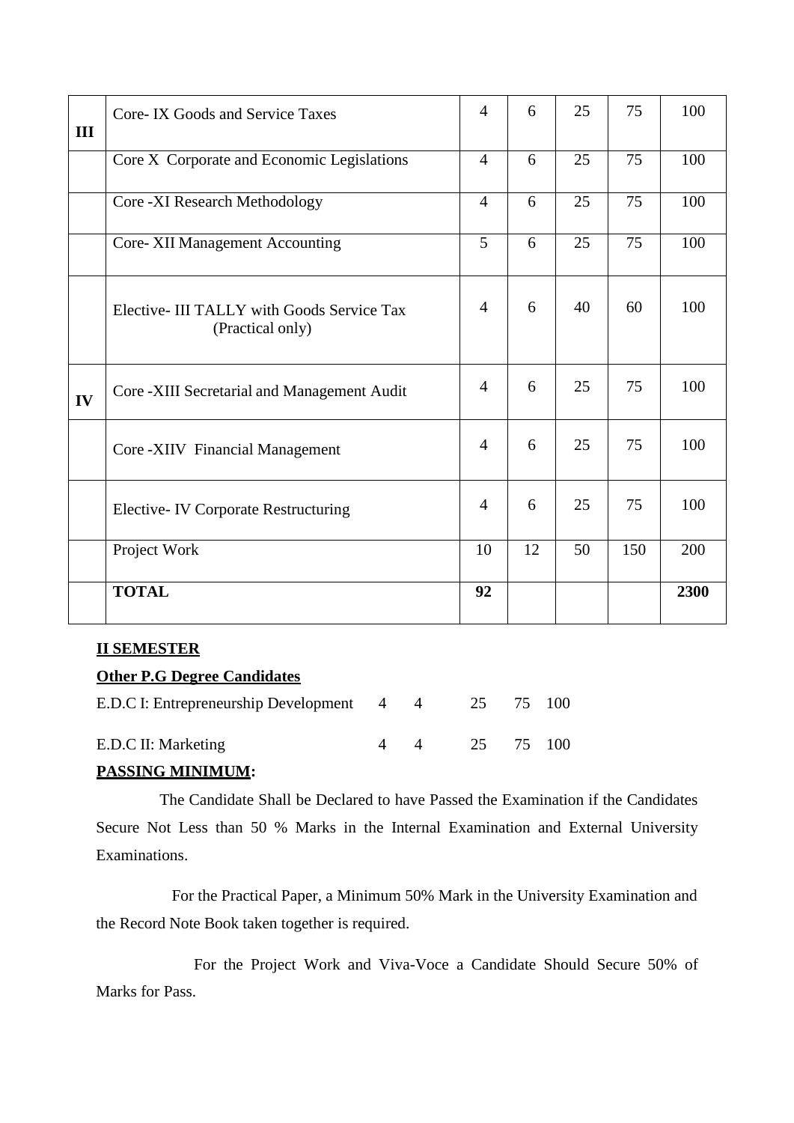| III | Core-IX Goods and Service Taxes                                | $\overline{4}$ | 6  | 25 | 75  | 100  |
|-----|----------------------------------------------------------------|----------------|----|----|-----|------|
|     | Core X Corporate and Economic Legislations                     | $\overline{4}$ | 6  | 25 | 75  | 100  |
|     | Core - XI Research Methodology                                 | $\overline{4}$ | 6  | 25 | 75  | 100  |
|     | <b>Core-XII Management Accounting</b>                          | 5              | 6  | 25 | 75  | 100  |
|     | Elective- III TALLY with Goods Service Tax<br>(Practical only) | $\overline{4}$ | 6  | 40 | 60  | 100  |
| IV  | Core -XIII Secretarial and Management Audit                    | 4              | 6  | 25 | 75  | 100  |
|     | Core -XIIV Financial Management                                | $\overline{4}$ | 6  | 25 | 75  | 100  |
|     | <b>Elective-IV Corporate Restructuring</b>                     | $\overline{4}$ | 6  | 25 | 75  | 100  |
|     | Project Work                                                   | 10             | 12 | 50 | 150 | 200  |
|     | <b>TOTAL</b>                                                   | 92             |    |    |     | 2300 |

## **II SEMESTER**

# **Other P.G Degree Candidates**

| E.D.C I: Entrepreneurship Development 4 4 25 75 100 |  |               |  |
|-----------------------------------------------------|--|---------------|--|
| E.D.C II: Marketing                                 |  | 4 4 25 75 100 |  |

## **PASSING MINIMUM:**

The Candidate Shall be Declared to have Passed the Examination if the Candidates Secure Not Less than 50 % Marks in the Internal Examination and External University Examinations.

For the Practical Paper, a Minimum 50% Mark in the University Examination and the Record Note Book taken together is required.

For the Project Work and Viva-Voce a Candidate Should Secure 50% of Marks for Pass.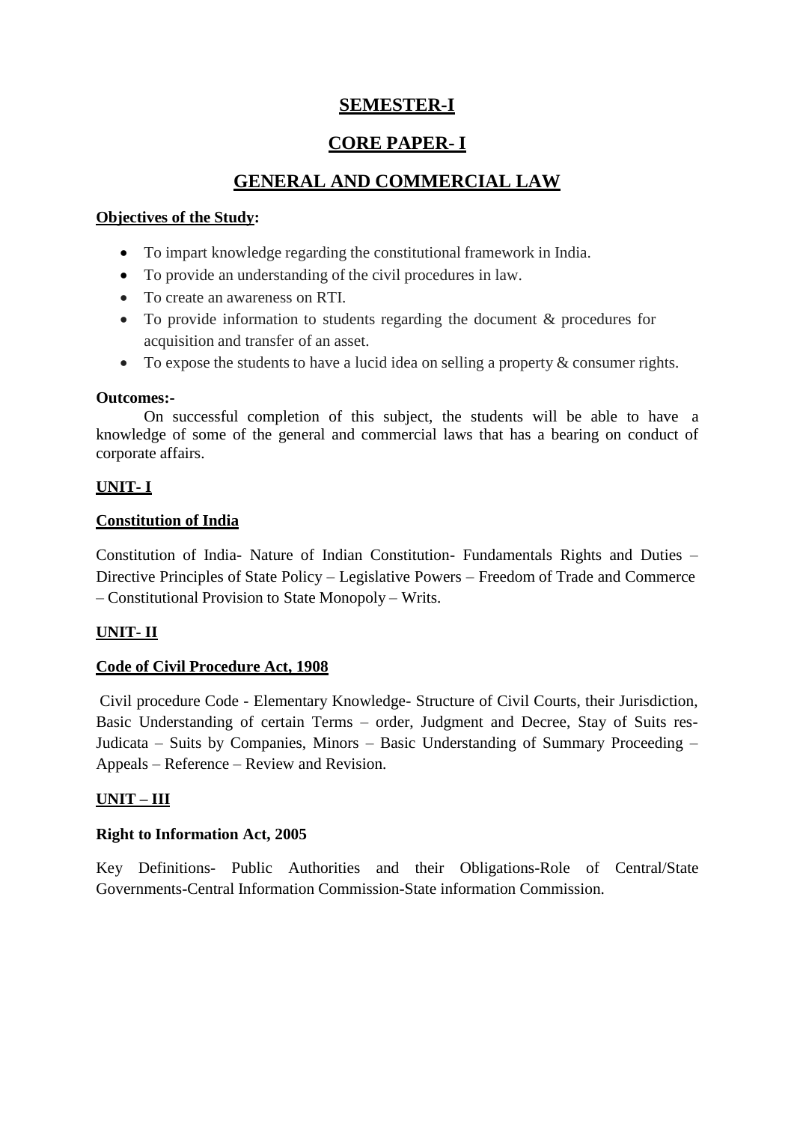# **SEMESTER-I**

# **CORE PAPER- I**

# **GENERAL AND COMMERCIAL LAW**

## **Objectives of the Study:**

- To impart knowledge regarding the constitutional framework in India.
- To provide an understanding of the civil procedures in law.
- To create an awareness on RTI.
- To provide information to students regarding the document & procedures for acquisition and transfer of an asset.
- $\bullet$  To expose the students to have a lucid idea on selling a property & consumer rights.

## **Outcomes:-**

On successful completion of this subject, the students will be able to have a knowledge of some of the general and commercial laws that has a bearing on conduct of corporate affairs.

## **UNIT- I**

## **Constitution of India**

Constitution of India- Nature of Indian Constitution- Fundamentals Rights and Duties – Directive Principles of State Policy – Legislative Powers – Freedom of Trade and Commerce – Constitutional Provision to State Monopoly – Writs.

## **UNIT- II**

## **Code of Civil Procedure Act, 1908**

Civil procedure Code - Elementary Knowledge- Structure of Civil Courts, their Jurisdiction, Basic Understanding of certain Terms – order, Judgment and Decree, Stay of Suits res-Judicata – Suits by Companies, Minors – Basic Understanding of Summary Proceeding – Appeals – Reference – Review and Revision.

## **UNIT – III**

## **Right to Information Act, 2005**

Key Definitions- Public Authorities and their Obligations-Role of Central/State Governments-Central Information Commission-State information Commission.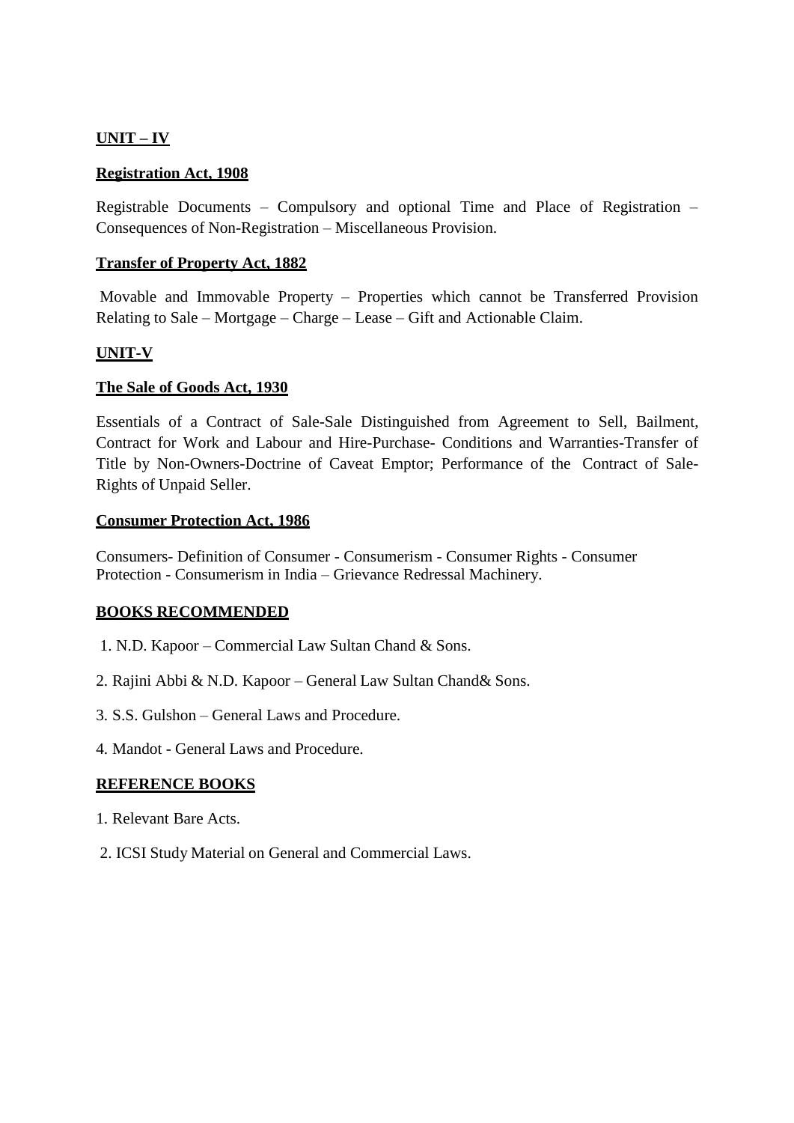## **UNIT – IV**

#### **Registration Act, 1908**

Registrable Documents – Compulsory and optional Time and Place of Registration – Consequences of Non-Registration – Miscellaneous Provision.

#### **Transfer of Property Act, 1882**

Movable and Immovable Property – Properties which cannot be Transferred Provision Relating to Sale – Mortgage – Charge – Lease – Gift and Actionable Claim.

#### **UNIT-V**

#### **The Sale of Goods Act, 1930**

Essentials of a Contract of Sale-Sale Distinguished from Agreement to Sell, Bailment, Contract for Work and Labour and Hire-Purchase- Conditions and Warranties-Transfer of Title by Non-Owners-Doctrine of Caveat Emptor; Performance of the Contract of Sale-Rights of Unpaid Seller.

#### **Consumer Protection Act, 1986**

Consumers- Definition of Consumer - Consumerism - Consumer Rights - Consumer Protection - Consumerism in India – Grievance Redressal Machinery.

#### **BOOKS RECOMMENDED**

- 1. N.D. Kapoor Commercial Law Sultan Chand & Sons.
- 2. Rajini Abbi & N.D. Kapoor General Law Sultan Chand& Sons.
- 3. S.S. Gulshon General Laws and Procedure.
- 4. Mandot General Laws and Procedure.

## **REFERENCE BOOKS**

- 1. Relevant Bare Acts.
- 2. ICSI Study Material on General and Commercial Laws.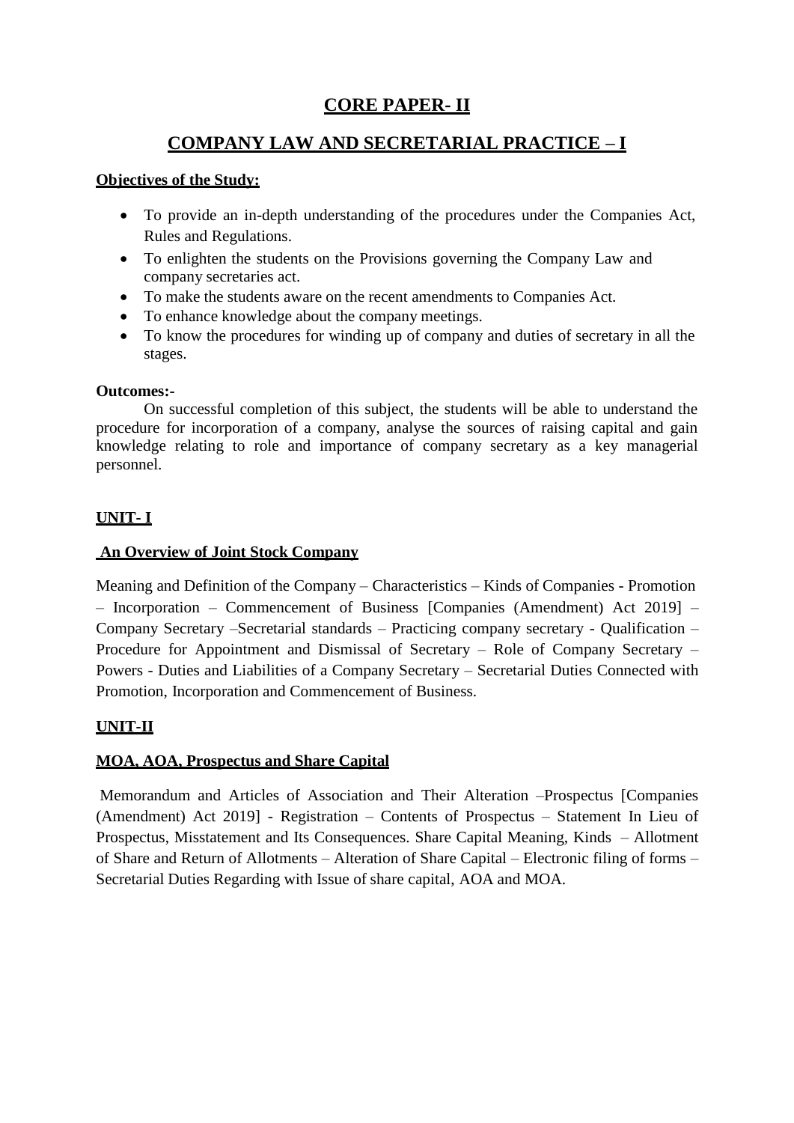# **CORE PAPER- II**

# **COMPANY LAW AND SECRETARIAL PRACTICE – I**

## **Objectives of the Study:**

- To provide an in-depth understanding of the procedures under the Companies Act, Rules and Regulations.
- To enlighten the students on the Provisions governing the Company Law and company secretaries act.
- To make the students aware on the recent amendments to Companies Act.
- To enhance knowledge about the company meetings.
- To know the procedures for winding up of company and duties of secretary in all the stages.

## **Outcomes:-**

On successful completion of this subject, the students will be able to understand the procedure for incorporation of a company, analyse the sources of raising capital and gain knowledge relating to role and importance of company secretary as a key managerial personnel.

## **UNIT- I**

## **An Overview of Joint Stock Company**

Meaning and Definition of the Company – Characteristics – Kinds of Companies - Promotion – Incorporation – Commencement of Business [Companies (Amendment) Act 2019] – Company Secretary –Secretarial standards – Practicing company secretary - Qualification – Procedure for Appointment and Dismissal of Secretary – Role of Company Secretary – Powers - Duties and Liabilities of a Company Secretary – Secretarial Duties Connected with Promotion, Incorporation and Commencement of Business.

## **UNIT-II**

## **MOA, AOA, Prospectus and Share Capital**

Memorandum and Articles of Association and Their Alteration –Prospectus [Companies (Amendment) Act 2019] - Registration – Contents of Prospectus – Statement In Lieu of Prospectus, Misstatement and Its Consequences. Share Capital Meaning, Kinds – Allotment of Share and Return of Allotments – Alteration of Share Capital – Electronic filing of forms – Secretarial Duties Regarding with Issue of share capital, AOA and MOA.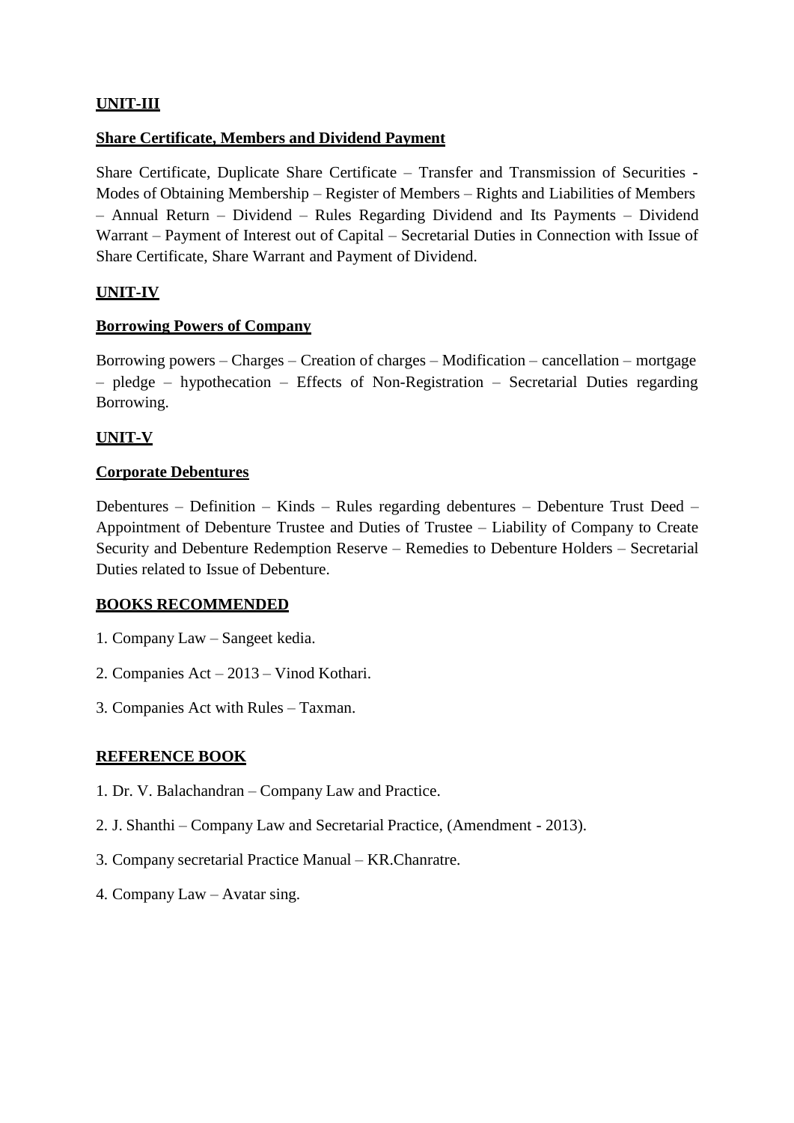## **UNIT-III**

### **Share Certificate, Members and Dividend Payment**

Share Certificate, Duplicate Share Certificate – Transfer and Transmission of Securities - Modes of Obtaining Membership – Register of Members – Rights and Liabilities of Members – Annual Return – Dividend – Rules Regarding Dividend and Its Payments – Dividend Warrant – Payment of Interest out of Capital – Secretarial Duties in Connection with Issue of Share Certificate, Share Warrant and Payment of Dividend.

## **UNIT-IV**

#### **Borrowing Powers of Company**

Borrowing powers – Charges – Creation of charges – Modification – cancellation – mortgage – pledge – hypothecation – Effects of Non-Registration – Secretarial Duties regarding Borrowing.

## **UNIT-V**

#### **Corporate Debentures**

Debentures – Definition – Kinds – Rules regarding debentures – Debenture Trust Deed – Appointment of Debenture Trustee and Duties of Trustee – Liability of Company to Create Security and Debenture Redemption Reserve – Remedies to Debenture Holders – Secretarial Duties related to Issue of Debenture.

#### **BOOKS RECOMMENDED**

- 1. Company Law Sangeet kedia.
- 2. Companies Act 2013 Vinod Kothari.
- 3. Companies Act with Rules Taxman.

#### **REFERENCE BOOK**

- 1. Dr. V. Balachandran Company Law and Practice.
- 2. J. Shanthi Company Law and Secretarial Practice, (Amendment 2013).
- 3. Company secretarial Practice Manual KR.Chanratre.
- 4. Company Law Avatar sing.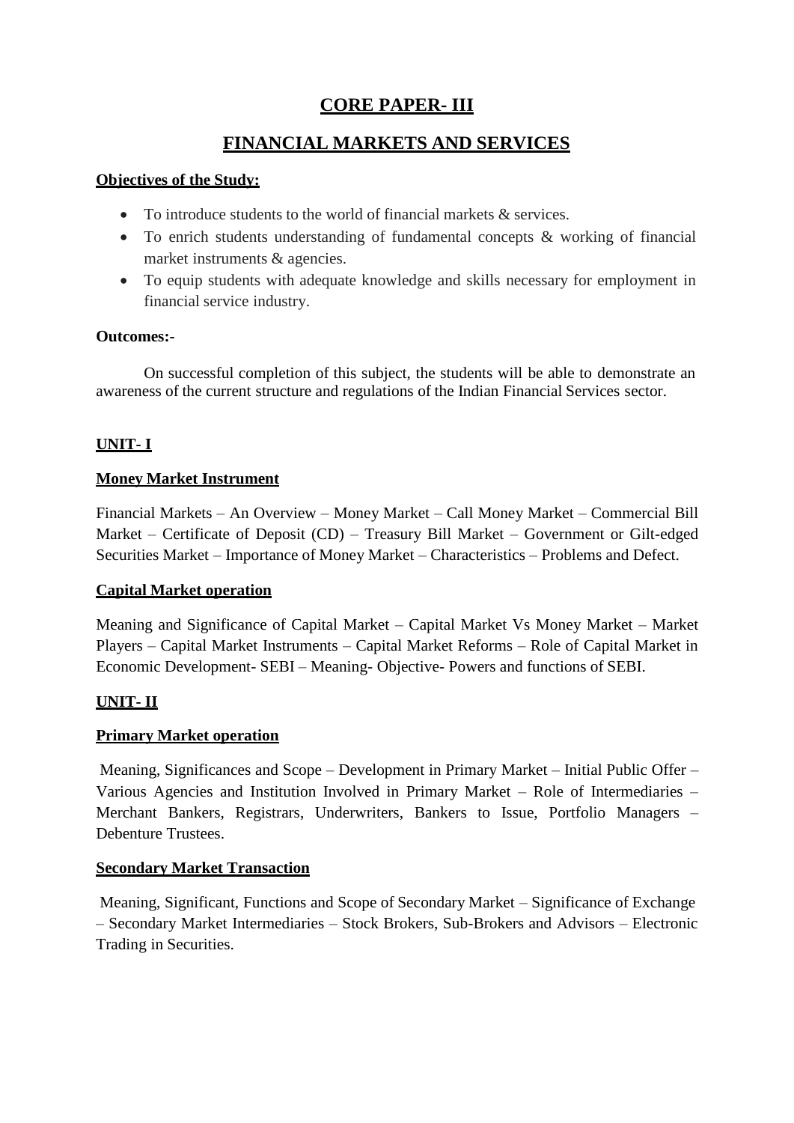# **CORE PAPER- III**

## **FINANCIAL MARKETS AND SERVICES**

## **Objectives of the Study:**

- $\bullet$  To introduce students to the world of financial markets  $\&$  services.
- To enrich students understanding of fundamental concepts & working of financial market instruments & agencies.
- To equip students with adequate knowledge and skills necessary for employment in financial service industry.

## **Outcomes:-**

On successful completion of this subject, the students will be able to demonstrate an awareness of the current structure and regulations of the Indian Financial Services sector.

## **UNIT- I**

## **Money Market Instrument**

Financial Markets – An Overview – Money Market – Call Money Market – Commercial Bill Market – Certificate of Deposit (CD) – Treasury Bill Market – Government or Gilt-edged Securities Market – Importance of Money Market – Characteristics – Problems and Defect.

## **Capital Market operation**

Meaning and Significance of Capital Market – Capital Market Vs Money Market – Market Players – Capital Market Instruments – Capital Market Reforms – Role of Capital Market in Economic Development- SEBI – Meaning- Objective- Powers and functions of SEBI.

## **UNIT- II**

## **Primary Market operation**

Meaning, Significances and Scope – Development in Primary Market – Initial Public Offer – Various Agencies and Institution Involved in Primary Market – Role of Intermediaries – Merchant Bankers, Registrars, Underwriters, Bankers to Issue, Portfolio Managers – Debenture Trustees.

## **Secondary Market Transaction**

Meaning, Significant, Functions and Scope of Secondary Market – Significance of Exchange – Secondary Market Intermediaries – Stock Brokers, Sub-Brokers and Advisors – Electronic Trading in Securities.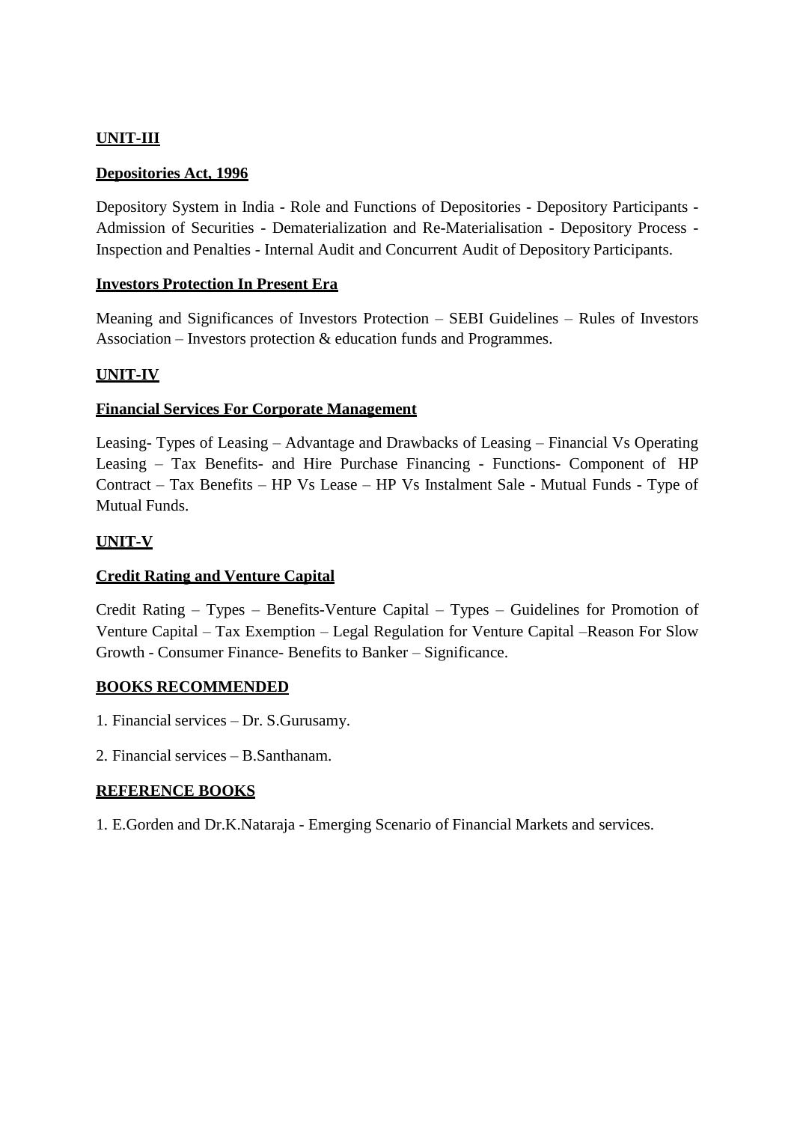## **UNIT-III**

#### **Depositories Act, 1996**

Depository System in India - Role and Functions of Depositories - Depository Participants - Admission of Securities - Dematerialization and Re-Materialisation - Depository Process - Inspection and Penalties - Internal Audit and Concurrent Audit of Depository Participants.

#### **Investors Protection In Present Era**

Meaning and Significances of Investors Protection – SEBI Guidelines – Rules of Investors Association – Investors protection & education funds and Programmes.

## **UNIT-IV**

#### **Financial Services For Corporate Management**

Leasing- Types of Leasing – Advantage and Drawbacks of Leasing – Financial Vs Operating Leasing – Tax Benefits- and Hire Purchase Financing - Functions- Component of HP Contract – Tax Benefits – HP Vs Lease – HP Vs Instalment Sale - Mutual Funds - Type of Mutual Funds.

#### **UNIT-V**

#### **Credit Rating and Venture Capital**

Credit Rating – Types – Benefits-Venture Capital – Types – Guidelines for Promotion of Venture Capital – Tax Exemption – Legal Regulation for Venture Capital –Reason For Slow Growth - Consumer Finance- Benefits to Banker – Significance.

#### **BOOKS RECOMMENDED**

- 1. Financial services Dr. S.Gurusamy.
- 2. Financial services B.Santhanam.

## **REFERENCE BOOKS**

1. E.Gorden and Dr.K.Nataraja - Emerging Scenario of Financial Markets and services.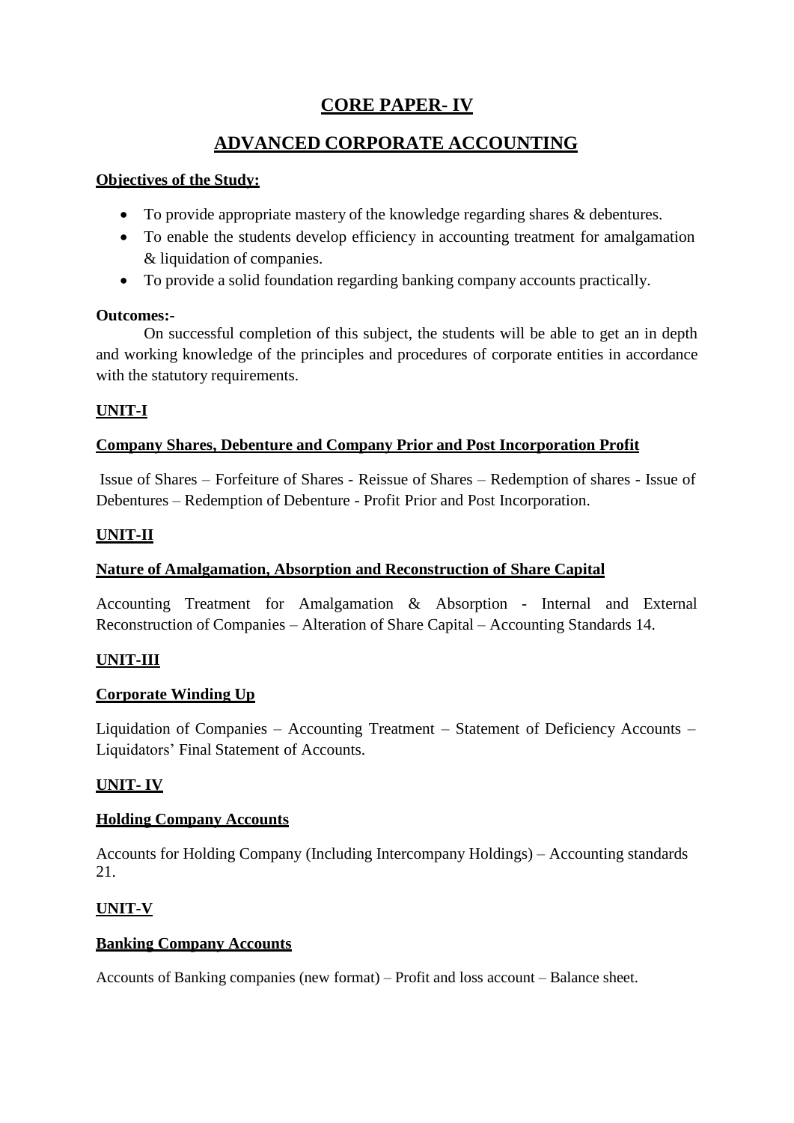# **CORE PAPER- IV**

# **ADVANCED CORPORATE ACCOUNTING**

## **Objectives of the Study:**

- To provide appropriate mastery of the knowledge regarding shares & debentures.
- To enable the students develop efficiency in accounting treatment for amalgamation & liquidation of companies.
- To provide a solid foundation regarding banking company accounts practically.

## **Outcomes:-**

On successful completion of this subject, the students will be able to get an in depth and working knowledge of the principles and procedures of corporate entities in accordance with the statutory requirements.

## **UNIT-I**

## **Company Shares, Debenture and Company Prior and Post Incorporation Profit**

Issue of Shares – Forfeiture of Shares - Reissue of Shares – Redemption of shares - Issue of Debentures – Redemption of Debenture - Profit Prior and Post Incorporation.

## **UNIT-II**

## **Nature of Amalgamation, Absorption and Reconstruction of Share Capital**

Accounting Treatment for Amalgamation & Absorption - Internal and External Reconstruction of Companies – Alteration of Share Capital – Accounting Standards 14.

## **UNIT-III**

## **Corporate Winding Up**

Liquidation of Companies – Accounting Treatment – Statement of Deficiency Accounts – Liquidators' Final Statement of Accounts.

## **UNIT- IV**

## **Holding Company Accounts**

Accounts for Holding Company (Including Intercompany Holdings) – Accounting standards 21.

## **UNIT-V**

## **Banking Company Accounts**

Accounts of Banking companies (new format) – Profit and loss account – Balance sheet.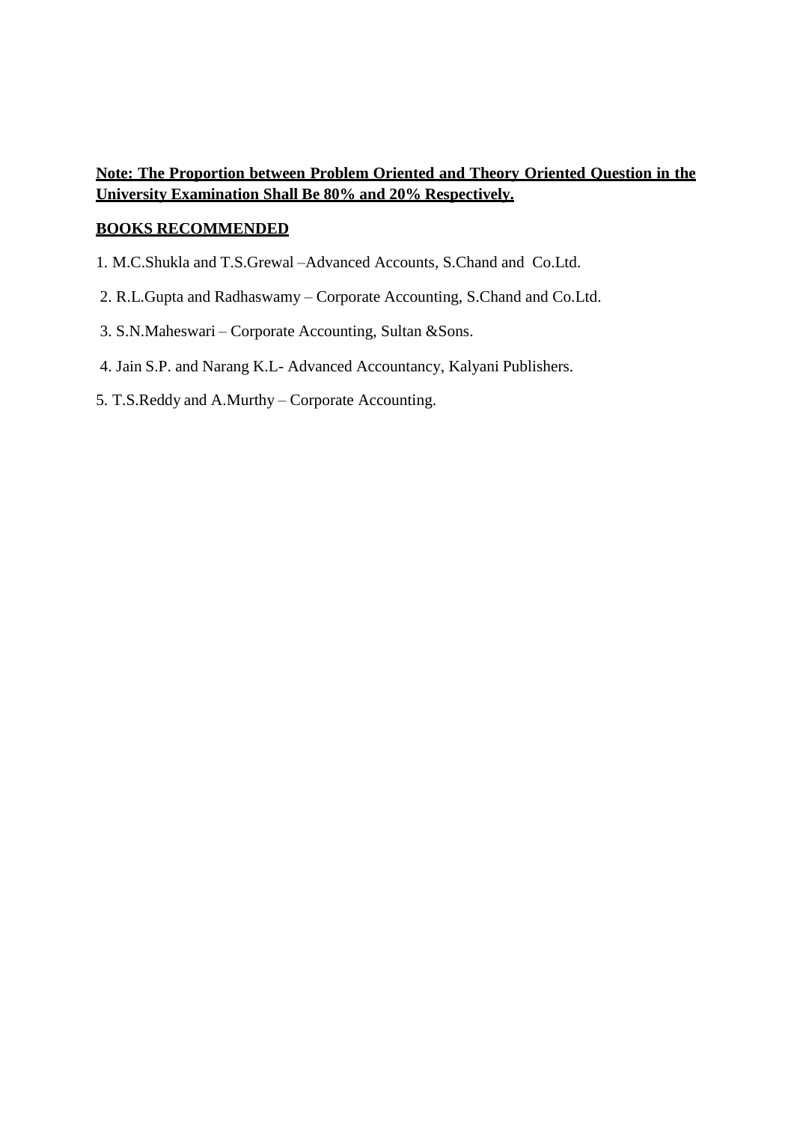## **Note: The Proportion between Problem Oriented and Theory Oriented Question in the University Examination Shall Be 80% and 20% Respectively.**

#### **BOOKS RECOMMENDED**

- 1. M.C.Shukla and T.S.Grewal –Advanced Accounts, S.Chand and Co.Ltd.
- 2. R.L.Gupta and Radhaswamy Corporate Accounting, S.Chand and Co.Ltd.
- 3. S.N.Maheswari Corporate Accounting, Sultan &Sons.
- 4. Jain S.P. and Narang K.L- Advanced Accountancy, Kalyani Publishers.
- 5. T.S.Reddy and A.Murthy Corporate Accounting.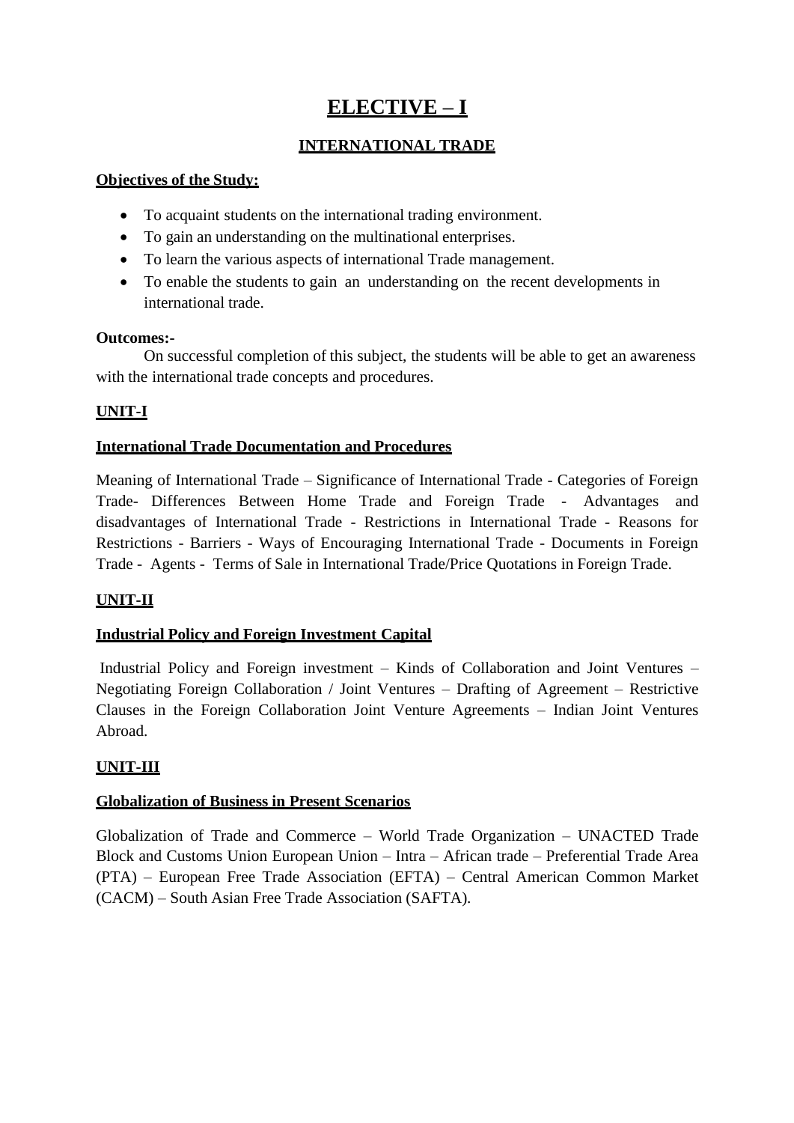# **ELECTIVE – I**

## **INTERNATIONAL TRADE**

## **Objectives of the Study:**

- To acquaint students on the international trading environment.
- To gain an understanding on the multinational enterprises.
- To learn the various aspects of international Trade management.
- To enable the students to gain an understanding on the recent developments in international trade.

#### **Outcomes:-**

On successful completion of this subject, the students will be able to get an awareness with the international trade concepts and procedures.

## **UNIT-I**

## **International Trade Documentation and Procedures**

Meaning of International Trade – Significance of International Trade - Categories of Foreign Trade- Differences Between Home Trade and Foreign Trade - Advantages and disadvantages of International Trade - Restrictions in International Trade - Reasons for Restrictions - Barriers - Ways of Encouraging International Trade - Documents in Foreign Trade - Agents - Terms of Sale in International Trade/Price Quotations in Foreign Trade.

## **UNIT-II**

## **Industrial Policy and Foreign Investment Capital**

Industrial Policy and Foreign investment – Kinds of Collaboration and Joint Ventures – Negotiating Foreign Collaboration / Joint Ventures – Drafting of Agreement – Restrictive Clauses in the Foreign Collaboration Joint Venture Agreements – Indian Joint Ventures Abroad.

## **UNIT-III**

## **Globalization of Business in Present Scenarios**

Globalization of Trade and Commerce – World Trade Organization – UNACTED Trade Block and Customs Union European Union – Intra – African trade – Preferential Trade Area (PTA) – European Free Trade Association (EFTA) – Central American Common Market (CACM) – South Asian Free Trade Association (SAFTA).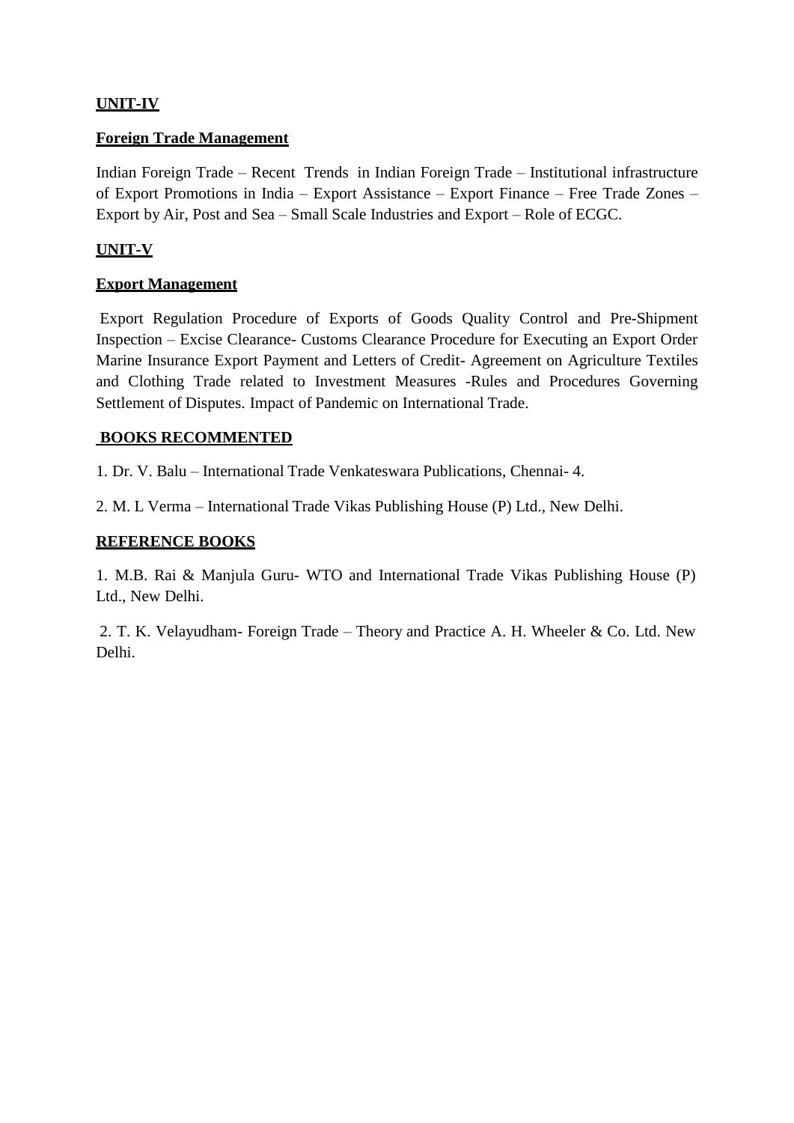## **UNIT-IV**

#### **Foreign Trade Management**

Indian Foreign Trade – Recent Trends in Indian Foreign Trade – Institutional infrastructure of Export Promotions in India – Export Assistance – Export Finance – Free Trade Zones – Export by Air, Post and Sea – Small Scale Industries and Export – Role of ECGC.

## **UNIT-V**

### **Export Management**

Export Regulation Procedure of Exports of Goods Quality Control and Pre-Shipment Inspection – Excise Clearance- Customs Clearance Procedure for Executing an Export Order Marine Insurance Export Payment and Letters of Credit- Agreement on Agriculture Textiles and Clothing Trade related to Investment Measures -Rules and Procedures Governing Settlement of Disputes. Impact of Pandemic on International Trade.

#### **BOOKS RECOMMENTED**

1. Dr. V. Balu – International Trade Venkateswara Publications, Chennai- 4.

2. M. L Verma – International Trade Vikas Publishing House (P) Ltd., New Delhi.

#### **REFERENCE BOOKS**

1. M.B. Rai & Manjula Guru- WTO and International Trade Vikas Publishing House (P) Ltd., New Delhi.

2. T. K. Velayudham- Foreign Trade – Theory and Practice A. H. Wheeler & Co. Ltd. New Delhi.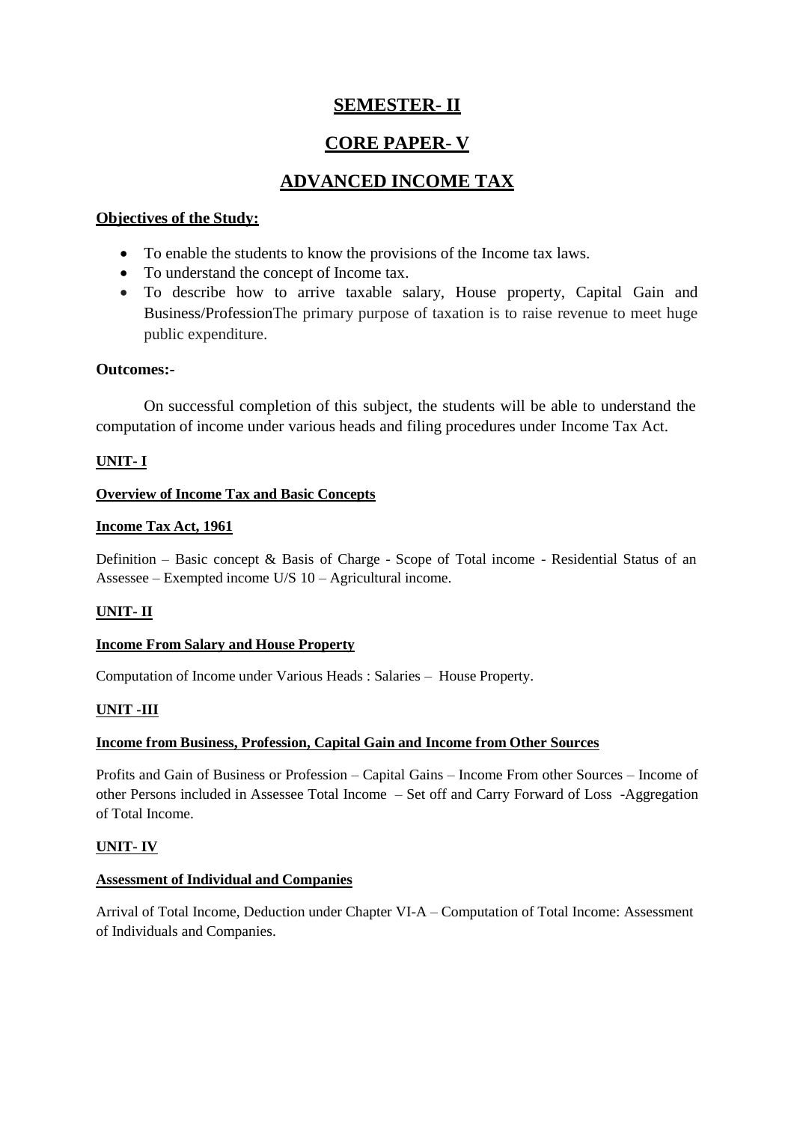# **SEMESTER- II**

# **CORE PAPER- V**

# **ADVANCED INCOME TAX**

## **Objectives of the Study:**

- To enable the students to know the provisions of the Income tax laws.
- To understand the concept of Income tax.
- To describe how to arrive taxable salary, House property, Capital Gain and Business/ProfessionThe primary purpose of taxation is to raise revenue to meet huge public expenditure.

#### **Outcomes:-**

On successful completion of this subject, the students will be able to understand the computation of income under various heads and filing procedures under Income Tax Act.

#### **UNIT- I**

#### **Overview of Income Tax and Basic Concepts**

#### **Income Tax Act, 1961**

Definition – Basic concept & Basis of Charge - Scope of Total income - Residential Status of an Assessee – Exempted income U/S 10 – Agricultural income.

## **UNIT- II**

#### **Income From Salary and House Property**

Computation of Income under Various Heads : Salaries – House Property.

#### **UNIT -III**

## **Income from Business, Profession, Capital Gain and Income from Other Sources**

Profits and Gain of Business or Profession – Capital Gains – Income From other Sources – Income of other Persons included in Assessee Total Income – Set off and Carry Forward of Loss -Aggregation of Total Income.

#### **UNIT- IV**

#### **Assessment of Individual and Companies**

Arrival of Total Income, Deduction under Chapter VI-A – Computation of Total Income: Assessment of Individuals and Companies.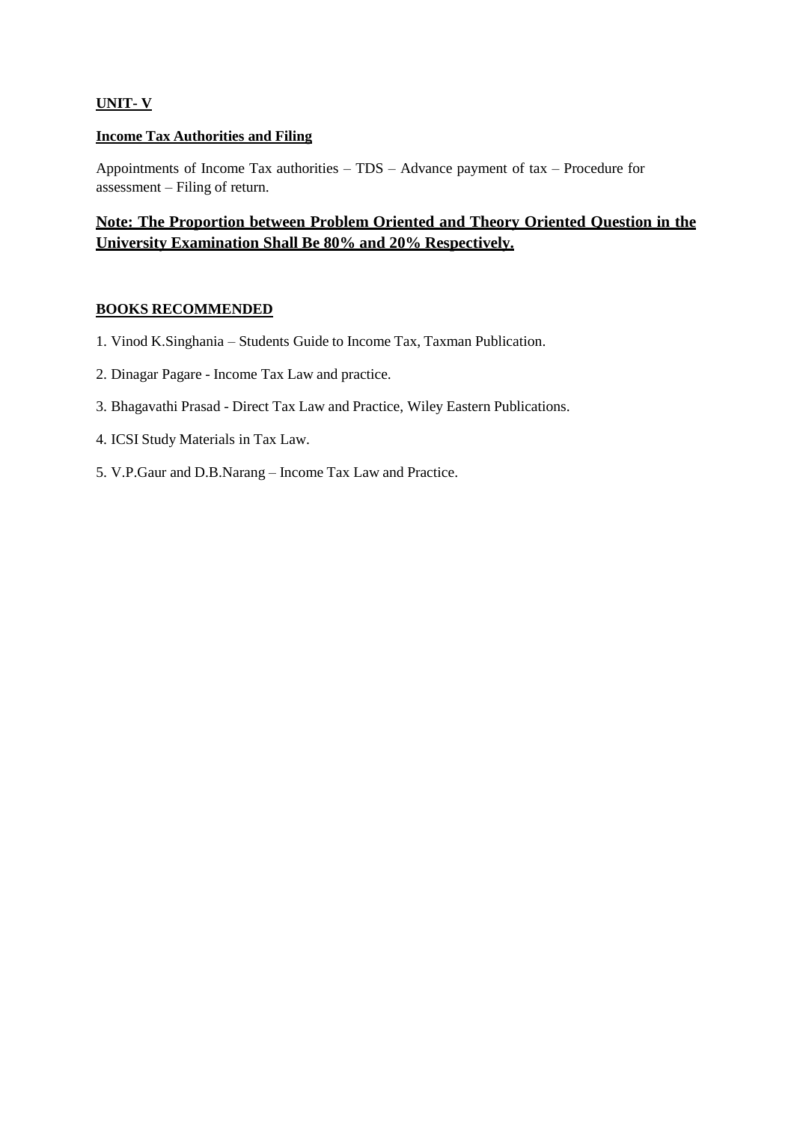#### **UNIT- V**

#### **Income Tax Authorities and Filing**

Appointments of Income Tax authorities – TDS – Advance payment of tax – Procedure for assessment – Filing of return.

## **Note: The Proportion between Problem Oriented and Theory Oriented Question in the University Examination Shall Be 80% and 20% Respectively.**

#### **BOOKS RECOMMENDED**

- 1. Vinod K.Singhania Students Guide to Income Tax, Taxman Publication.
- 2. Dinagar Pagare Income Tax Law and practice.
- 3. Bhagavathi Prasad Direct Tax Law and Practice, Wiley Eastern Publications.
- 4. ICSI Study Materials in Tax Law.
- 5. V.P.Gaur and D.B.Narang Income Tax Law and Practice.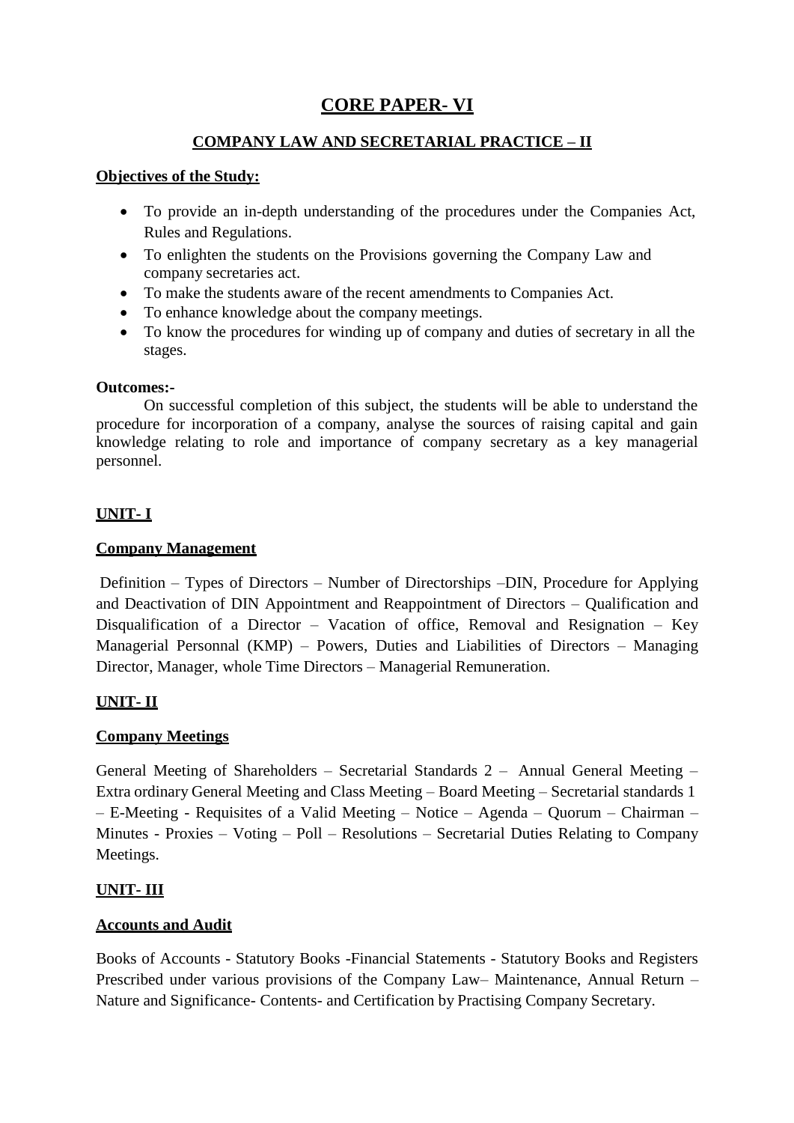# **CORE PAPER- VI**

## **COMPANY LAW AND SECRETARIAL PRACTICE – II**

#### **Objectives of the Study:**

- To provide an in-depth understanding of the procedures under the Companies Act, Rules and Regulations.
- To enlighten the students on the Provisions governing the Company Law and company secretaries act.
- To make the students aware of the recent amendments to Companies Act.
- To enhance knowledge about the company meetings.
- To know the procedures for winding up of company and duties of secretary in all the stages.

#### **Outcomes:-**

On successful completion of this subject, the students will be able to understand the procedure for incorporation of a company, analyse the sources of raising capital and gain knowledge relating to role and importance of company secretary as a key managerial personnel.

## **UNIT- I**

## **Company Management**

Definition – Types of Directors – Number of Directorships –DIN, Procedure for Applying and Deactivation of DIN Appointment and Reappointment of Directors – Qualification and Disqualification of a Director – Vacation of office, Removal and Resignation – Key Managerial Personnal (KMP) – Powers, Duties and Liabilities of Directors – Managing Director, Manager, whole Time Directors – Managerial Remuneration.

## **UNIT- II**

## **Company Meetings**

General Meeting of Shareholders – Secretarial Standards 2 – Annual General Meeting – Extra ordinary General Meeting and Class Meeting – Board Meeting – Secretarial standards 1 – E-Meeting - Requisites of a Valid Meeting – Notice – Agenda – Quorum – Chairman – Minutes - Proxies – Voting – Poll – Resolutions – Secretarial Duties Relating to Company Meetings.

## **UNIT- III**

## **Accounts and Audit**

Books of Accounts - Statutory Books -Financial Statements - Statutory Books and Registers Prescribed under various provisions of the Company Law– Maintenance, Annual Return – Nature and Significance- Contents- and Certification by Practising Company Secretary.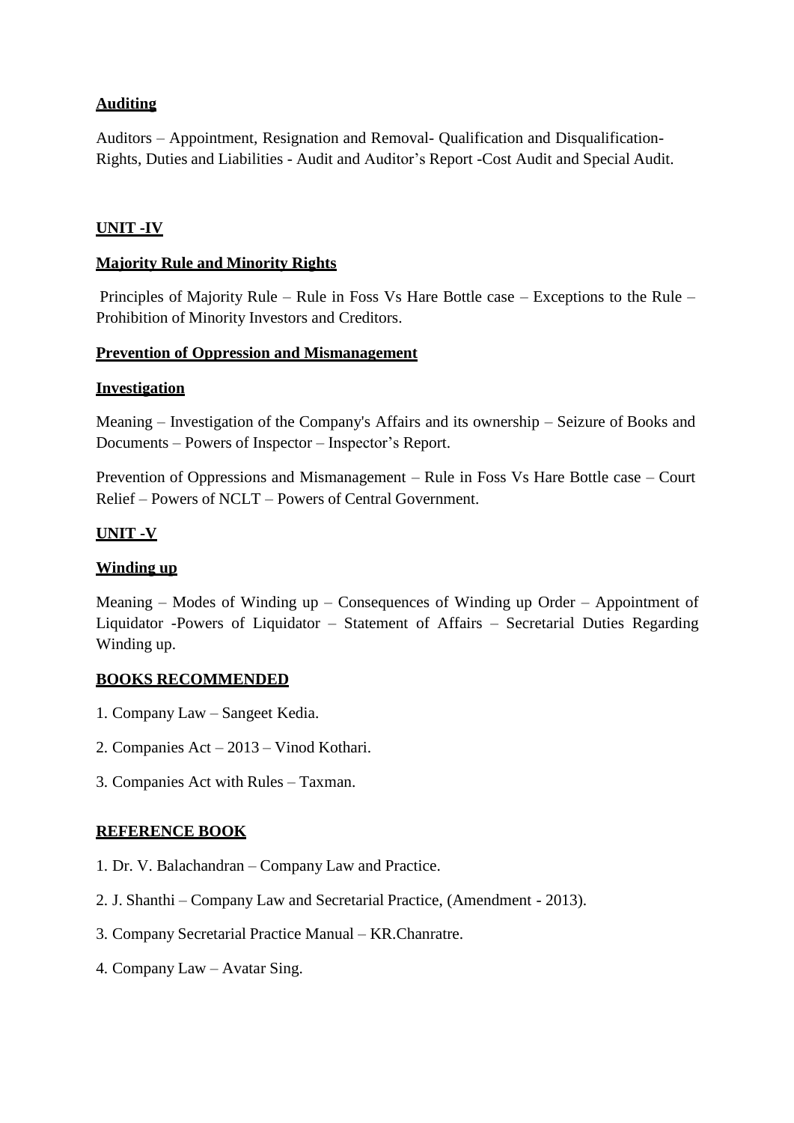## **Auditing**

Auditors – Appointment, Resignation and Removal- Qualification and Disqualification-Rights, Duties and Liabilities - Audit and Auditor's Report -Cost Audit and Special Audit.

## **UNIT -IV**

## **Majority Rule and Minority Rights**

Principles of Majority Rule – Rule in Foss Vs Hare Bottle case – Exceptions to the Rule – Prohibition of Minority Investors and Creditors.

#### **Prevention of Oppression and Mismanagement**

#### **Investigation**

Meaning – Investigation of the Company's Affairs and its ownership – Seizure of Books and Documents – Powers of Inspector – Inspector's Report.

Prevention of Oppressions and Mismanagement – Rule in Foss Vs Hare Bottle case – Court Relief – Powers of NCLT – Powers of Central Government.

## **UNIT -V**

## **Winding up**

Meaning – Modes of Winding up – Consequences of Winding up Order – Appointment of Liquidator -Powers of Liquidator – Statement of Affairs – Secretarial Duties Regarding Winding up.

#### **BOOKS RECOMMENDED**

- 1. Company Law Sangeet Kedia.
- 2. Companies Act 2013 Vinod Kothari.
- 3. Companies Act with Rules Taxman.

#### **REFERENCE BOOK**

- 1. Dr. V. Balachandran Company Law and Practice.
- 2. J. Shanthi Company Law and Secretarial Practice, (Amendment 2013).
- 3. Company Secretarial Practice Manual KR.Chanratre.
- 4. Company Law Avatar Sing.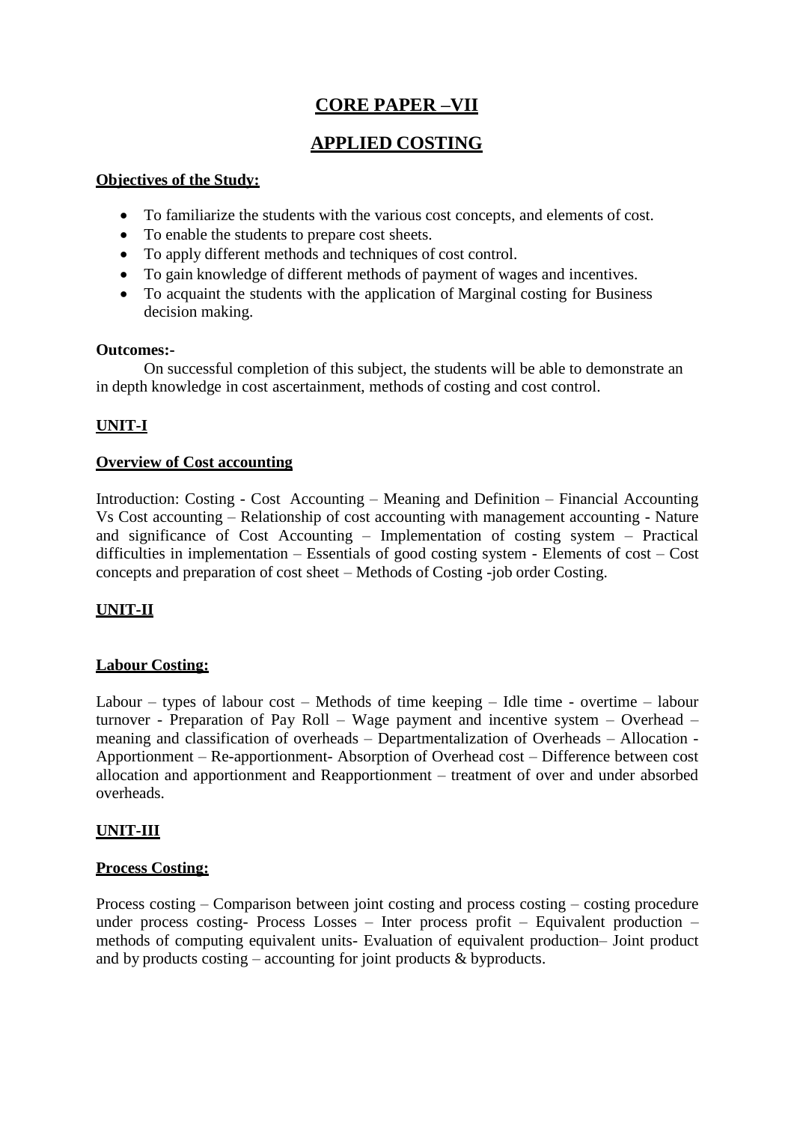# **CORE PAPER –VII**

## **APPLIED COSTING**

#### **Objectives of the Study:**

- To familiarize the students with the various cost concepts, and elements of cost.
- To enable the students to prepare cost sheets.
- To apply different methods and techniques of cost control.
- To gain knowledge of different methods of payment of wages and incentives.
- To acquaint the students with the application of Marginal costing for Business decision making.

#### **Outcomes:-**

On successful completion of this subject, the students will be able to demonstrate an in depth knowledge in cost ascertainment, methods of costing and cost control.

## **UNIT-I**

## **Overview of Cost accounting**

Introduction: Costing - Cost Accounting – Meaning and Definition – Financial Accounting Vs Cost accounting – Relationship of cost accounting with management accounting - Nature and significance of Cost Accounting – Implementation of costing system – Practical difficulties in implementation – Essentials of good costing system - Elements of cost – Cost concepts and preparation of cost sheet – Methods of Costing -job order Costing.

## **UNIT-II**

## **Labour Costing:**

Labour – types of labour cost – Methods of time keeping – Idle time - overtime – labour turnover - Preparation of Pay Roll – Wage payment and incentive system – Overhead – meaning and classification of overheads – Departmentalization of Overheads – Allocation - Apportionment – Re-apportionment- Absorption of Overhead cost – Difference between cost allocation and apportionment and Reapportionment – treatment of over and under absorbed overheads.

## **UNIT-III**

## **Process Costing:**

Process costing – Comparison between joint costing and process costing – costing procedure under process costing- Process Losses – Inter process profit – Equivalent production – methods of computing equivalent units- Evaluation of equivalent production– Joint product and by products costing – accounting for joint products  $\&$  byproducts.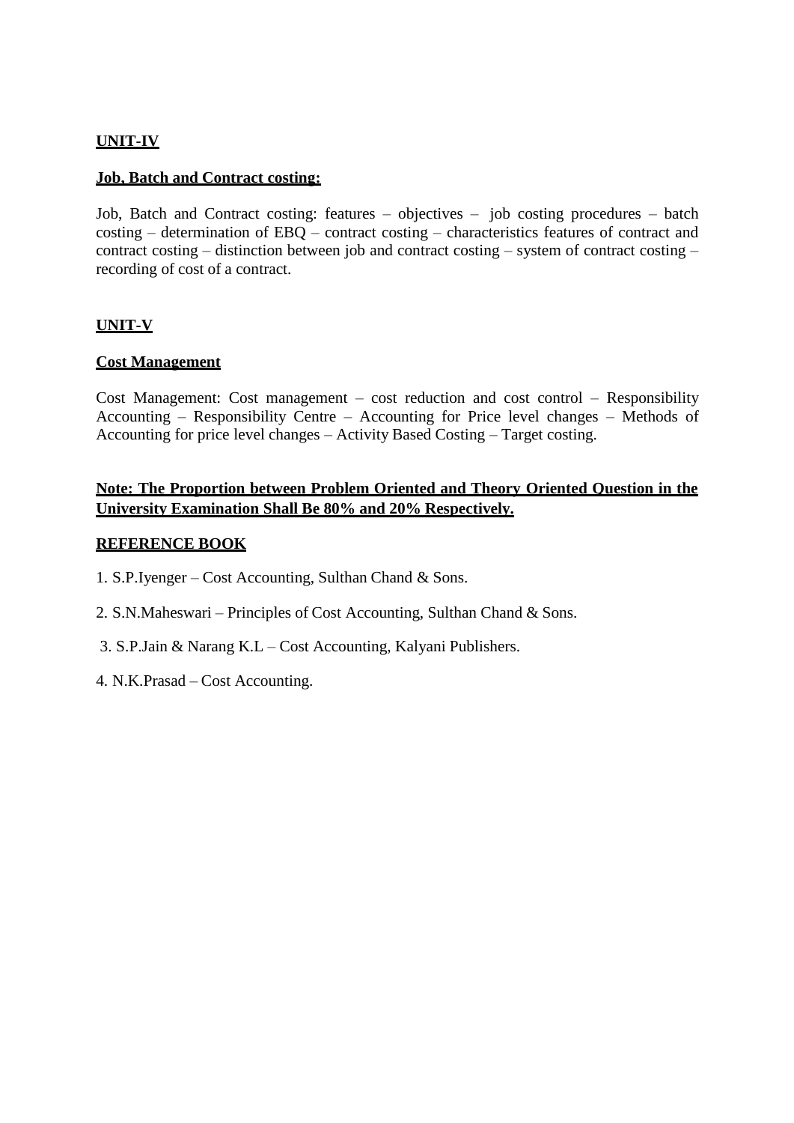### **UNIT-IV**

#### **Job, Batch and Contract costing:**

Job, Batch and Contract costing: features – objectives – job costing procedures – batch costing – determination of EBQ – contract costing – characteristics features of contract and contract costing – distinction between job and contract costing – system of contract costing – recording of cost of a contract.

#### **UNIT-V**

#### **Cost Management**

Cost Management: Cost management – cost reduction and cost control – Responsibility Accounting – Responsibility Centre – Accounting for Price level changes – Methods of Accounting for price level changes – Activity Based Costing – Target costing.

## **Note: The Proportion between Problem Oriented and Theory Oriented Question in the University Examination Shall Be 80% and 20% Respectively.**

#### **REFERENCE BOOK**

- 1. S.P.Iyenger Cost Accounting, Sulthan Chand & Sons.
- 2. S.N.Maheswari Principles of Cost Accounting, Sulthan Chand & Sons.
- 3. S.P.Jain & Narang K.L Cost Accounting, Kalyani Publishers.
- 4. N.K.Prasad Cost Accounting.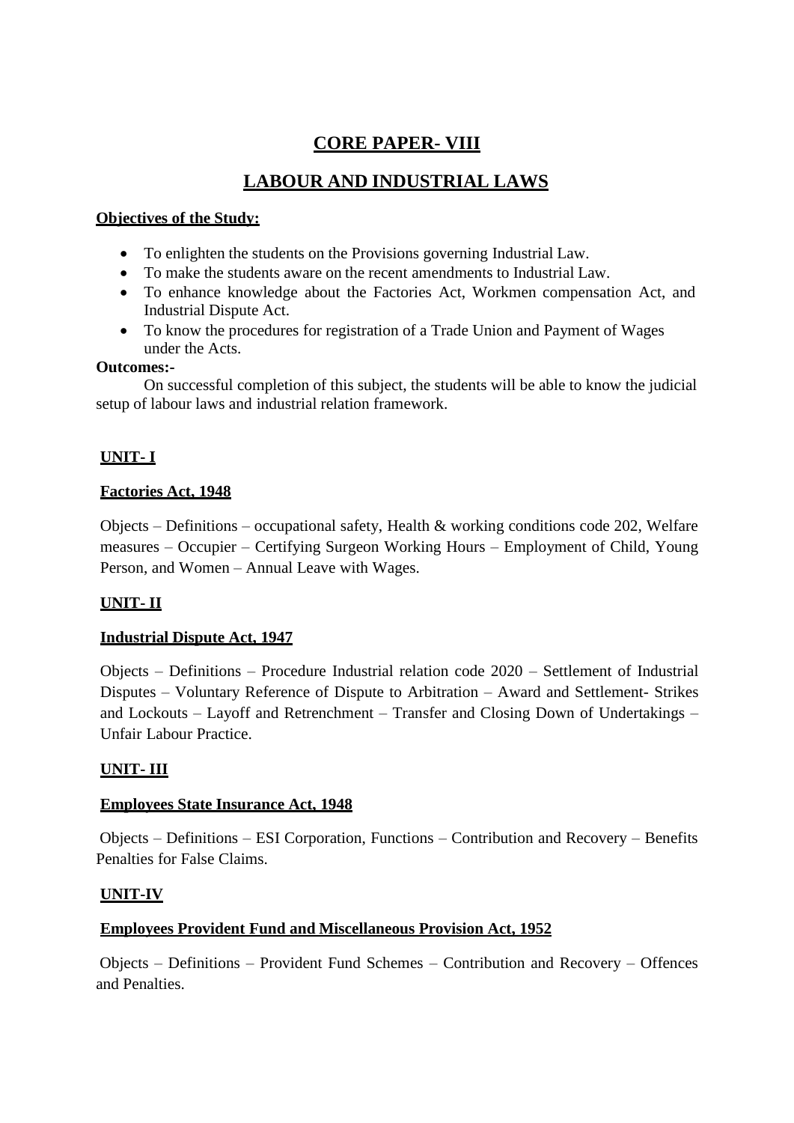# **CORE PAPER- VIII**

# **LABOUR AND INDUSTRIAL LAWS**

## **Objectives of the Study:**

- To enlighten the students on the Provisions governing Industrial Law.
- To make the students aware on the recent amendments to Industrial Law.
- To enhance knowledge about the Factories Act, Workmen compensation Act, and Industrial Dispute Act.
- To know the procedures for registration of a Trade Union and Payment of Wages under the Acts.

## **Outcomes:-**

On successful completion of this subject, the students will be able to know the judicial setup of labour laws and industrial relation framework.

## **UNIT- I**

## **Factories Act, 1948**

Objects – Definitions – occupational safety, Health & working conditions code 202, Welfare measures – Occupier – Certifying Surgeon Working Hours – Employment of Child, Young Person, and Women – Annual Leave with Wages.

## **UNIT- II**

## **Industrial Dispute Act, 1947**

Objects – Definitions – Procedure Industrial relation code 2020 – Settlement of Industrial Disputes – Voluntary Reference of Dispute to Arbitration – Award and Settlement- Strikes and Lockouts – Layoff and Retrenchment – Transfer and Closing Down of Undertakings – Unfair Labour Practice.

## **UNIT- III**

## **Employees State Insurance Act, 1948**

Objects – Definitions – ESI Corporation, Functions – Contribution and Recovery – Benefits Penalties for False Claims.

## **UNIT-IV**

## **Employees Provident Fund and Miscellaneous Provision Act, 1952**

Objects – Definitions – Provident Fund Schemes – Contribution and Recovery – Offences and Penalties.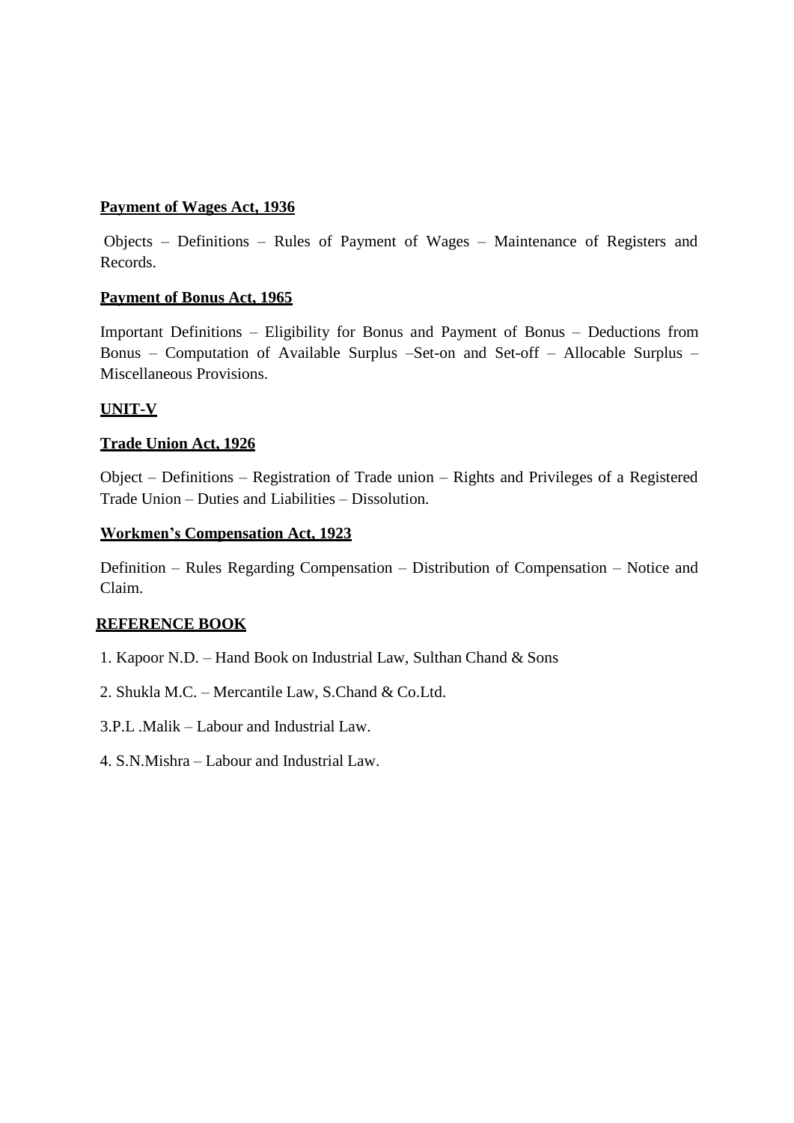## **Payment of Wages Act, 1936**

Objects – Definitions – Rules of Payment of Wages – Maintenance of Registers and Records.

#### **Payment of Bonus Act, 1965**

Important Definitions – Eligibility for Bonus and Payment of Bonus – Deductions from Bonus – Computation of Available Surplus –Set-on and Set-off – Allocable Surplus – Miscellaneous Provisions.

#### **UNIT-V**

#### **Trade Union Act, 1926**

Object – Definitions – Registration of Trade union – Rights and Privileges of a Registered Trade Union – Duties and Liabilities – Dissolution.

#### **Workmen's Compensation Act, 1923**

Definition – Rules Regarding Compensation – Distribution of Compensation – Notice and Claim.

#### **REFERENCE BOOK**

- 1. Kapoor N.D. Hand Book on Industrial Law, Sulthan Chand & Sons
- 2. Shukla M.C. Mercantile Law, S.Chand & Co.Ltd.
- 3.P.L .Malik Labour and Industrial Law.
- 4. S.N.Mishra Labour and Industrial Law.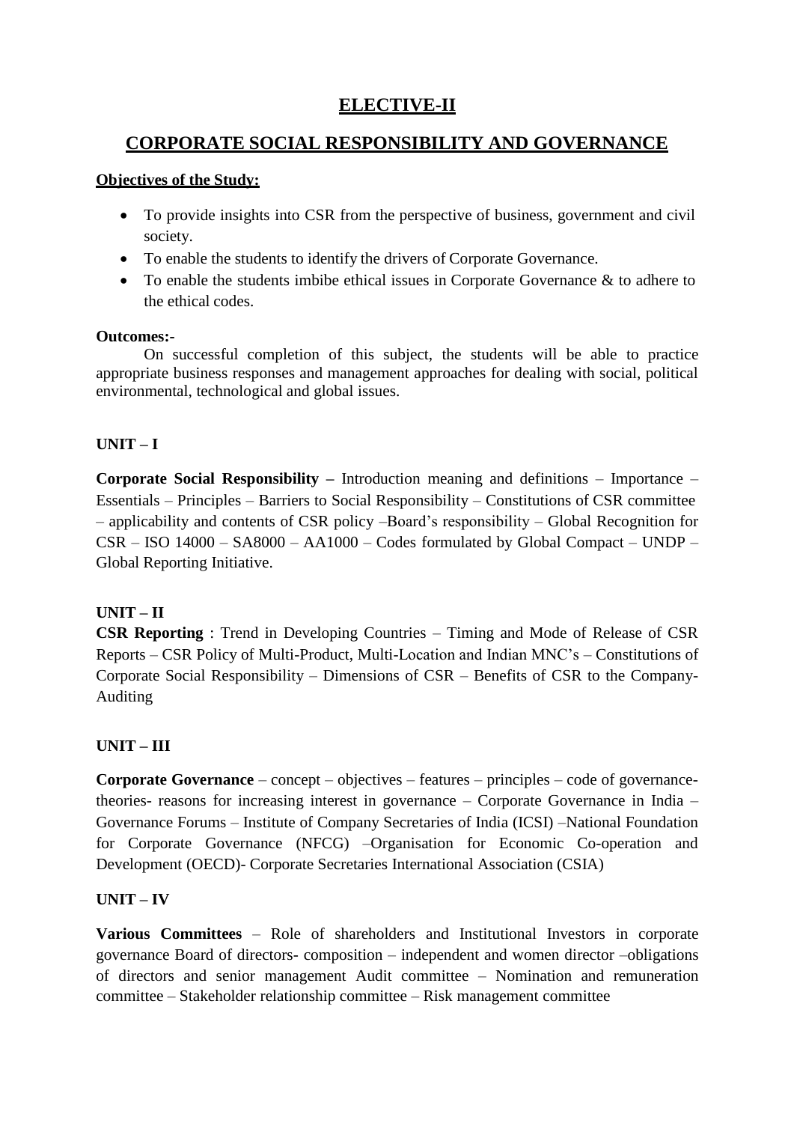# **ELECTIVE-II**

# **CORPORATE SOCIAL RESPONSIBILITY AND GOVERNANCE**

## **Objectives of the Study:**

- To provide insights into CSR from the perspective of business, government and civil society.
- To enable the students to identify the drivers of Corporate Governance.
- To enable the students imbibe ethical issues in Corporate Governance & to adhere to the ethical codes.

## **Outcomes:-**

On successful completion of this subject, the students will be able to practice appropriate business responses and management approaches for dealing with social, political environmental, technological and global issues.

## **UNIT – I**

**Corporate Social Responsibility –** Introduction meaning and definitions – Importance – Essentials – Principles – Barriers to Social Responsibility – Constitutions of CSR committee – applicability and contents of CSR policy –Board's responsibility – Global Recognition for CSR – ISO 14000 – SA8000 – AA1000 – Codes formulated by Global Compact – UNDP – Global Reporting Initiative.

## **UNIT – II**

**CSR Reporting** : Trend in Developing Countries – Timing and Mode of Release of CSR Reports – CSR Policy of Multi-Product, Multi-Location and Indian MNC's – Constitutions of Corporate Social Responsibility – Dimensions of CSR – Benefits of CSR to the Company-Auditing

## **UNIT – III**

**Corporate Governance** – concept – objectives – features – principles – code of governancetheories- reasons for increasing interest in governance – Corporate Governance in India – Governance Forums – Institute of Company Secretaries of India (ICSI) –National Foundation for Corporate Governance (NFCG) –Organisation for Economic Co-operation and Development (OECD)- Corporate Secretaries International Association (CSIA)

## **UNIT – IV**

**Various Committees** – Role of shareholders and Institutional Investors in corporate governance Board of directors- composition – independent and women director –obligations of directors and senior management Audit committee – Nomination and remuneration committee – Stakeholder relationship committee – Risk management committee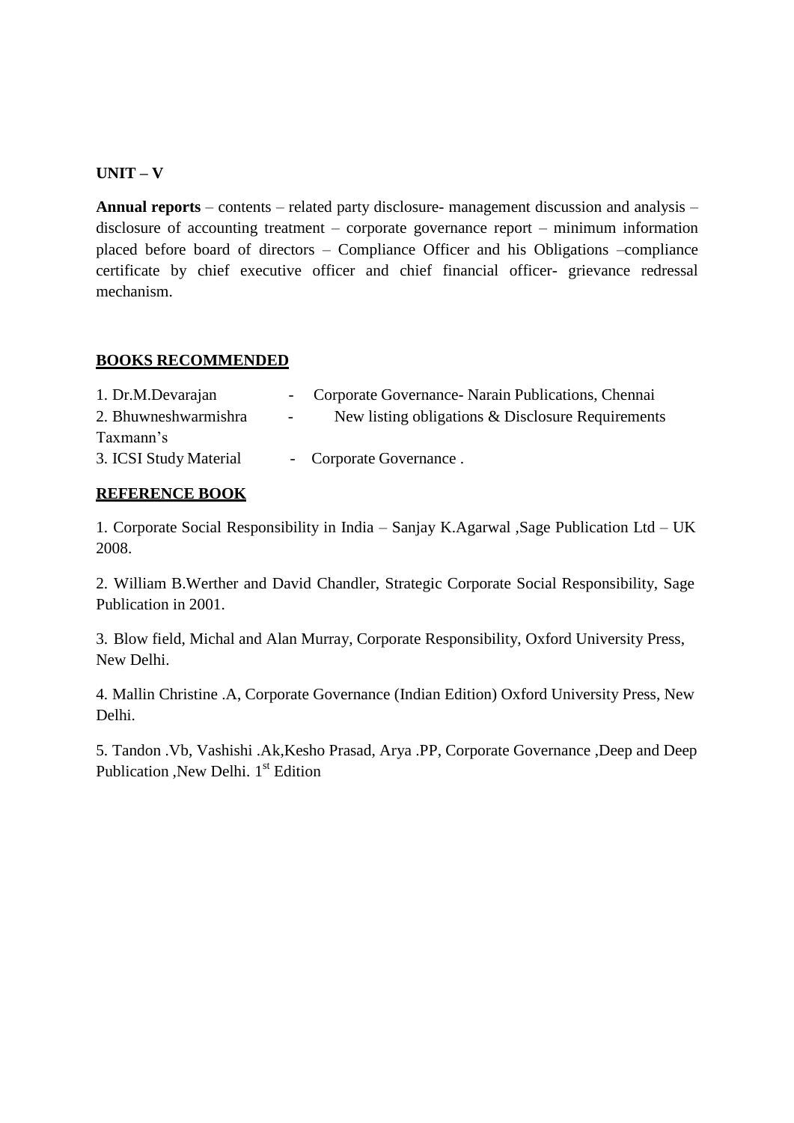## **UNIT – V**

**Annual reports** – contents – related party disclosure- management discussion and analysis – disclosure of accounting treatment – corporate governance report – minimum information placed before board of directors – Compliance Officer and his Obligations –compliance certificate by chief executive officer and chief financial officer- grievance redressal mechanism.

#### **BOOKS RECOMMENDED**

| 1. Dr.M.Devarajan      |            | - Corporate Governance - Narain Publications, Chennai |
|------------------------|------------|-------------------------------------------------------|
| 2. Bhuwneshwarmishra   | $\sim 100$ | New listing obligations & Disclosure Requirements     |
| Taxmann's              |            |                                                       |
| 3. ICSI Study Material |            | - Corporate Governance.                               |

#### **REFERENCE BOOK**

1. Corporate Social Responsibility in India – Sanjay K.Agarwal ,Sage Publication Ltd – UK 2008.

2. William B.Werther and David Chandler, Strategic Corporate Social Responsibility, Sage Publication in 2001.

3. Blow field, Michal and Alan Murray, Corporate Responsibility, Oxford University Press, New Delhi.

4. Mallin Christine .A, Corporate Governance (Indian Edition) Oxford University Press, New Delhi.

5. Tandon .Vb, Vashishi .Ak,Kesho Prasad, Arya .PP, Corporate Governance ,Deep and Deep Publication , New Delhi. 1<sup>st</sup> Edition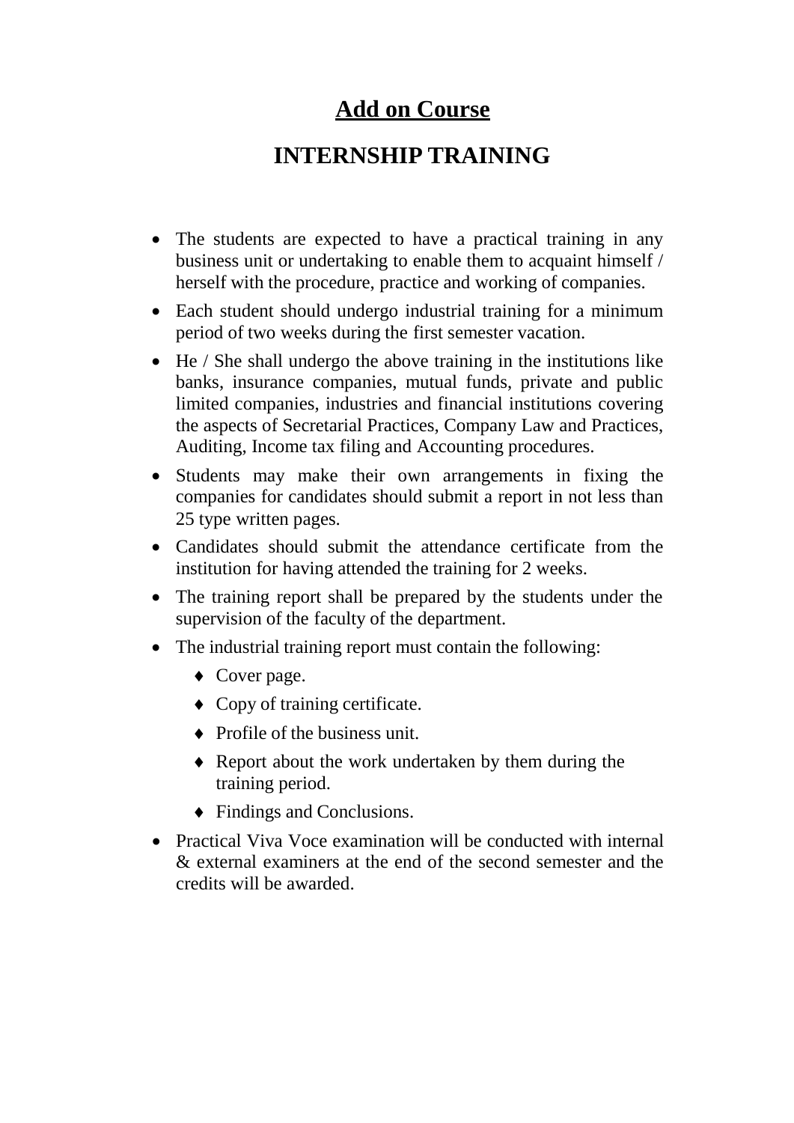# **Add on Course**

# **INTERNSHIP TRAINING**

- The students are expected to have a practical training in any business unit or undertaking to enable them to acquaint himself / herself with the procedure, practice and working of companies.
- Each student should undergo industrial training for a minimum period of two weeks during the first semester vacation.
- He / She shall undergo the above training in the institutions like banks, insurance companies, mutual funds, private and public limited companies, industries and financial institutions covering the aspects of Secretarial Practices, Company Law and Practices, Auditing, Income tax filing and Accounting procedures.
- Students may make their own arrangements in fixing the companies for candidates should submit a report in not less than 25 type written pages.
- Candidates should submit the attendance certificate from the institution for having attended the training for 2 weeks.
- The training report shall be prepared by the students under the supervision of the faculty of the department.
- The industrial training report must contain the following:
	- Cover page.
	- Copy of training certificate.
	- Profile of the business unit.
	- Report about the work undertaken by them during the training period.
	- Findings and Conclusions.
- Practical Viva Voce examination will be conducted with internal & external examiners at the end of the second semester and the credits will be awarded.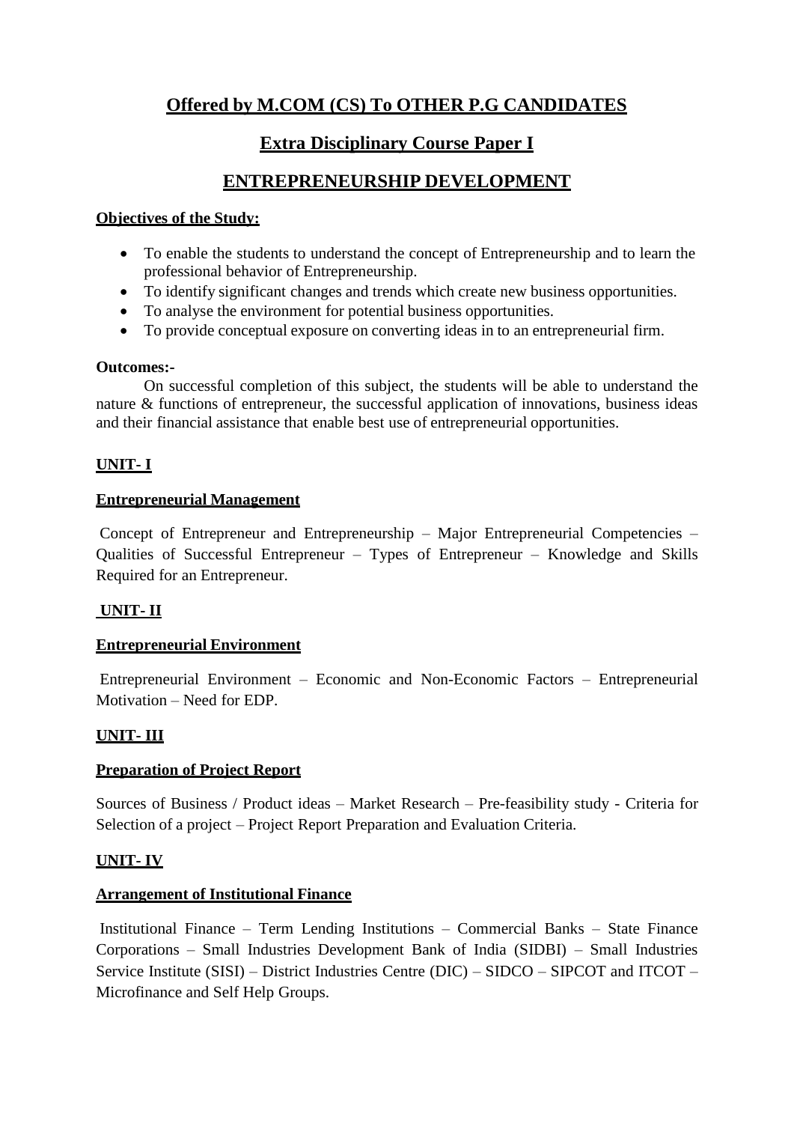# **Offered by M.COM (CS) To OTHER P.G CANDIDATES**

# **Extra Disciplinary Course Paper I**

# **ENTREPRENEURSHIP DEVELOPMENT**

## **Objectives of the Study:**

- To enable the students to understand the concept of Entrepreneurship and to learn the professional behavior of Entrepreneurship.
- To identify significant changes and trends which create new business opportunities.
- To analyse the environment for potential business opportunities.
- To provide conceptual exposure on converting ideas in to an entrepreneurial firm.

## **Outcomes:-**

On successful completion of this subject, the students will be able to understand the nature & functions of entrepreneur, the successful application of innovations, business ideas and their financial assistance that enable best use of entrepreneurial opportunities.

## **UNIT- I**

## **Entrepreneurial Management**

Concept of Entrepreneur and Entrepreneurship – Major Entrepreneurial Competencies – Qualities of Successful Entrepreneur – Types of Entrepreneur – Knowledge and Skills Required for an Entrepreneur.

## **UNIT- II**

## **Entrepreneurial Environment**

Entrepreneurial Environment – Economic and Non-Economic Factors – Entrepreneurial Motivation – Need for EDP.

## **UNIT- III**

## **Preparation of Project Report**

Sources of Business / Product ideas – Market Research – Pre-feasibility study - Criteria for Selection of a project – Project Report Preparation and Evaluation Criteria.

## **UNIT- IV**

## **Arrangement of Institutional Finance**

Institutional Finance – Term Lending Institutions – Commercial Banks – State Finance Corporations – Small Industries Development Bank of India (SIDBI) – Small Industries Service Institute (SISI) – District Industries Centre (DIC) – SIDCO – SIPCOT and ITCOT – Microfinance and Self Help Groups.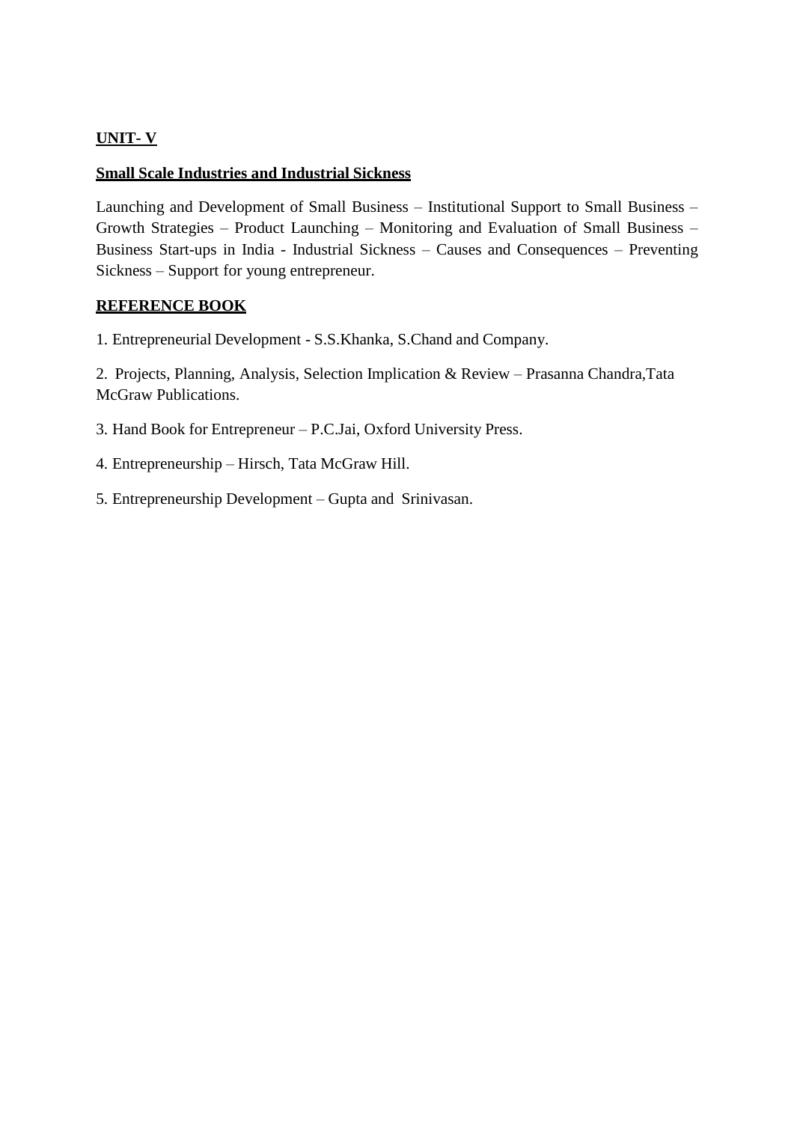## **UNIT- V**

## **Small Scale Industries and Industrial Sickness**

Launching and Development of Small Business – Institutional Support to Small Business – Growth Strategies – Product Launching – Monitoring and Evaluation of Small Business – Business Start-ups in India - Industrial Sickness – Causes and Consequences – Preventing Sickness – Support for young entrepreneur.

#### **REFERENCE BOOK**

1. Entrepreneurial Development - S.S.Khanka, S.Chand and Company.

2. Projects, Planning, Analysis, Selection Implication & Review – Prasanna Chandra,Tata McGraw Publications.

3. Hand Book for Entrepreneur – P.C.Jai, Oxford University Press.

4. Entrepreneurship – Hirsch, Tata McGraw Hill.

5. Entrepreneurship Development – Gupta and Srinivasan.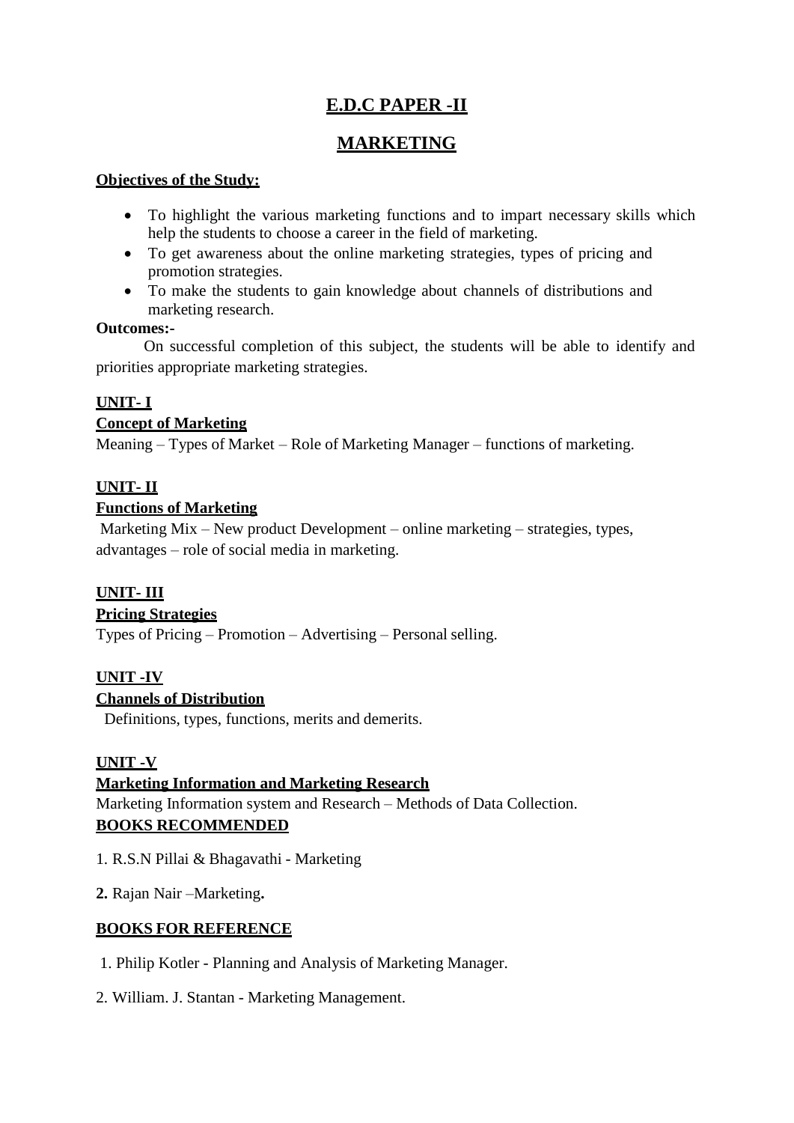# **E.D.C PAPER -II**

# **MARKETING**

## **Objectives of the Study:**

- To highlight the various marketing functions and to impart necessary skills which help the students to choose a career in the field of marketing.
- To get awareness about the online marketing strategies, types of pricing and promotion strategies.
- To make the students to gain knowledge about channels of distributions and marketing research.

## **Outcomes:-**

On successful completion of this subject, the students will be able to identify and priorities appropriate marketing strategies.

## **UNIT- I**

## **Concept of Marketing**

Meaning – Types of Market – Role of Marketing Manager – functions of marketing.

## **UNIT- II**

## **Functions of Marketing**

Marketing Mix – New product Development – online marketing – strategies, types, advantages – role of social media in marketing.

## **UNIT- III**

## **Pricing Strategies**

Types of Pricing – Promotion – Advertising – Personal selling.

## **UNIT -IV**

## **Channels of Distribution**

Definitions, types, functions, merits and demerits.

## **UNIT -V**

## **Marketing Information and Marketing Research**

Marketing Information system and Research – Methods of Data Collection. **BOOKS RECOMMENDED**

- 1. R.S.N Pillai & Bhagavathi Marketing
- **2.** Rajan Nair –Marketing**.**

## **BOOKS FOR REFERENCE**

- 1. Philip Kotler Planning and Analysis of Marketing Manager.
- 2. William. J. Stantan Marketing Management.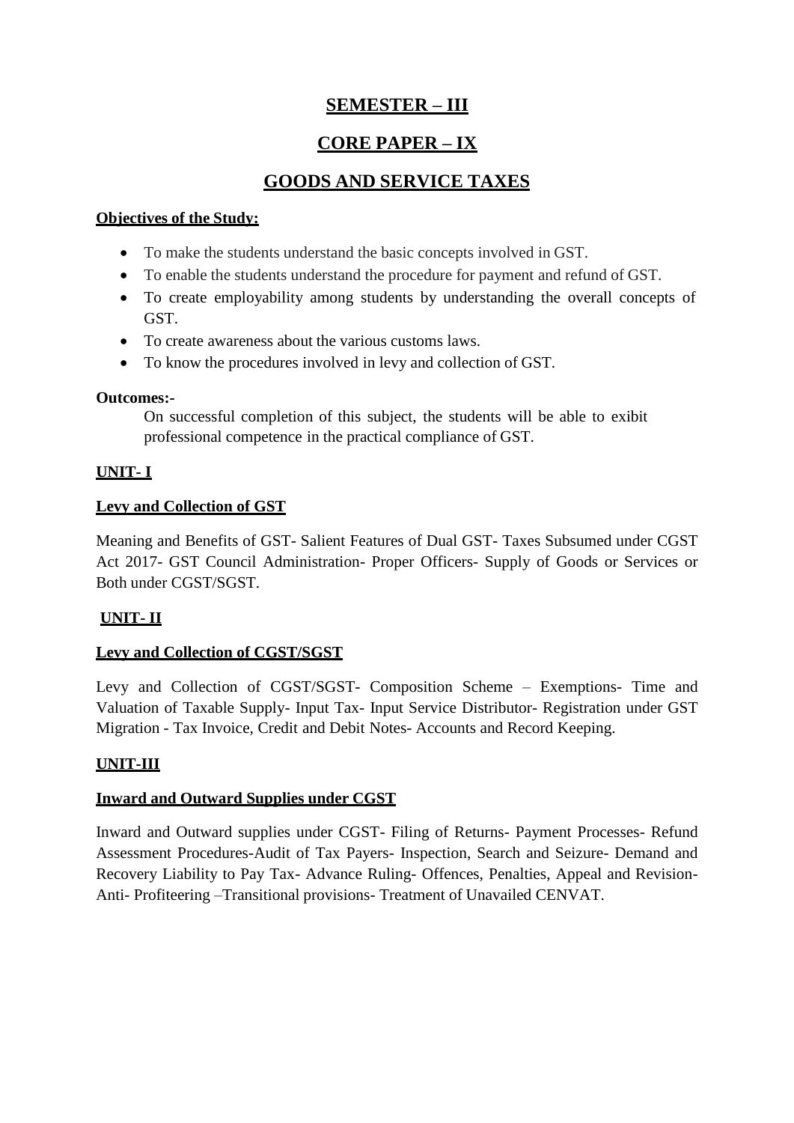# **SEMESTER – III**

# **CORE PAPER – IX**

# **GOODS AND SERVICE TAXES**

## **Objectives of the Study:**

- To make the students understand the basic concepts involved in GST.
- To enable the students understand the procedure for payment and refund of GST.
- To create employability among students by understanding the overall concepts of GST.
- To create awareness about the various customs laws.
- To know the procedures involved in levy and collection of GST.

## **Outcomes:-**

On successful completion of this subject, the students will be able to exibit professional competence in the practical compliance of GST.

## **UNIT- I**

## **Levy and Collection of GST**

Meaning and Benefits of GST- Salient Features of Dual GST- Taxes Subsumed under CGST Act 2017- GST Council Administration- Proper Officers- Supply of Goods or Services or Both under CGST/SGST.

## **UNIT- II**

## **Levy and Collection of CGST/SGST**

Levy and Collection of CGST/SGST- Composition Scheme – Exemptions- Time and Valuation of Taxable Supply- Input Tax- Input Service Distributor- Registration under GST Migration - Tax Invoice, Credit and Debit Notes- Accounts and Record Keeping.

## **UNIT-III**

## **Inward and Outward Supplies under CGST**

Inward and Outward supplies under CGST- Filing of Returns- Payment Processes- Refund Assessment Procedures-Audit of Tax Payers- Inspection, Search and Seizure- Demand and Recovery Liability to Pay Tax- Advance Ruling- Offences, Penalties, Appeal and Revision-Anti- Profiteering –Transitional provisions- Treatment of Unavailed CENVAT.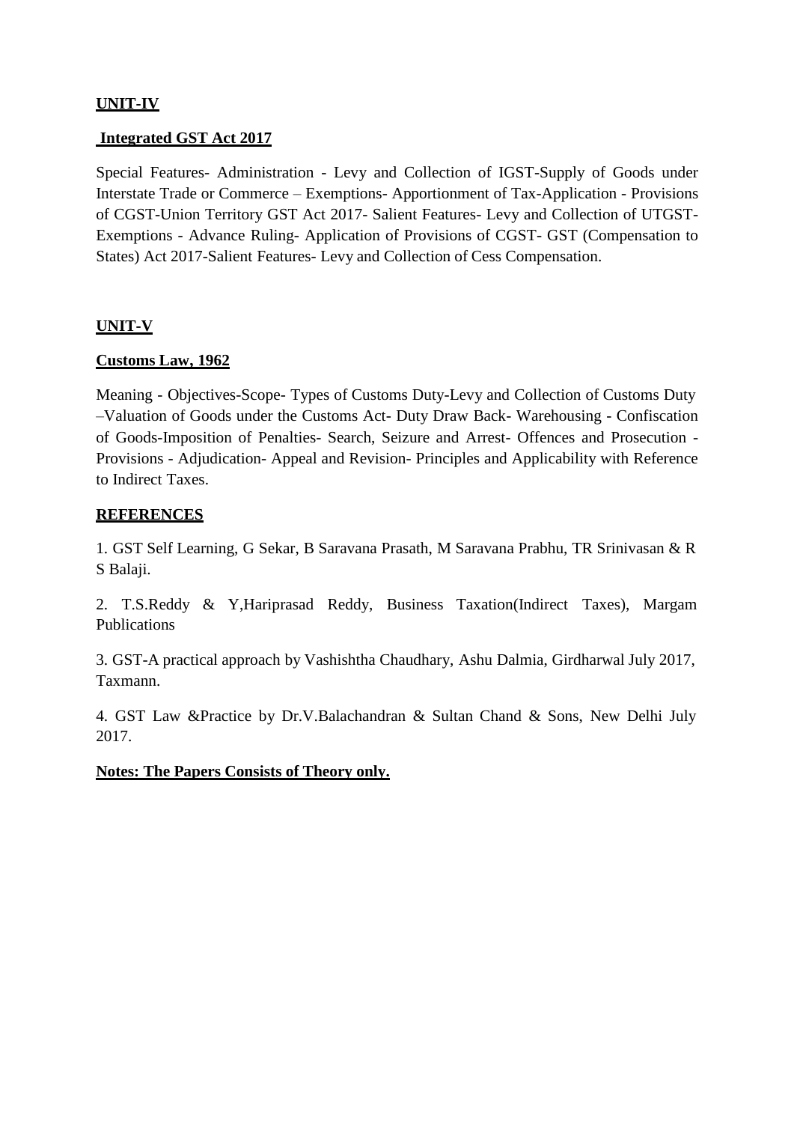## **UNIT-IV**

## **Integrated GST Act 2017**

Special Features- Administration - Levy and Collection of IGST-Supply of Goods under Interstate Trade or Commerce – Exemptions- Apportionment of Tax-Application - Provisions of CGST-Union Territory GST Act 2017- Salient Features- Levy and Collection of UTGST-Exemptions - Advance Ruling- Application of Provisions of CGST- GST (Compensation to States) Act 2017-Salient Features- Levy and Collection of Cess Compensation.

#### **UNIT-V**

#### **Customs Law, 1962**

Meaning - Objectives-Scope- Types of Customs Duty-Levy and Collection of Customs Duty –Valuation of Goods under the Customs Act- Duty Draw Back- Warehousing - Confiscation of Goods-Imposition of Penalties- Search, Seizure and Arrest- Offences and Prosecution - Provisions - Adjudication- Appeal and Revision- Principles and Applicability with Reference to Indirect Taxes.

## **REFERENCES**

1. GST Self Learning, G Sekar, B Saravana Prasath, M Saravana Prabhu, TR Srinivasan & R S Balaji.

2. T.S.Reddy & Y,Hariprasad Reddy, Business Taxation(Indirect Taxes), Margam Publications

3. GST-A practical approach by Vashishtha Chaudhary, Ashu Dalmia, Girdharwal July 2017, Taxmann.

4. GST Law &Practice by Dr.V.Balachandran & Sultan Chand & Sons, New Delhi July 2017.

#### **Notes: The Papers Consists of Theory only.**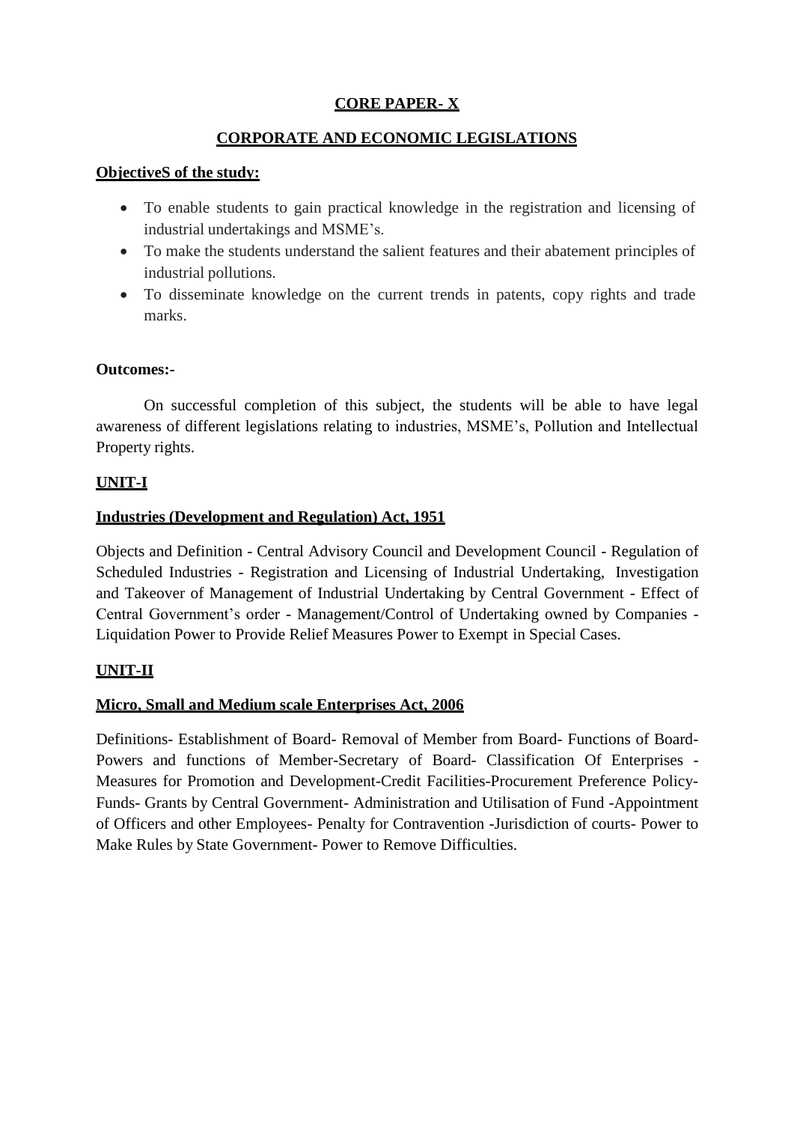## **CORE PAPER- X**

## **CORPORATE AND ECONOMIC LEGISLATIONS**

## **ObjectiveS of the study:**

- To enable students to gain practical knowledge in the registration and licensing of industrial undertakings and MSME's.
- To make the students understand the salient features and their abatement principles of industrial pollutions.
- To disseminate knowledge on the current trends in patents, copy rights and trade marks.

#### **Outcomes:-**

On successful completion of this subject, the students will be able to have legal awareness of different legislations relating to industries, MSME's, Pollution and Intellectual Property rights.

## **UNIT-I**

## **Industries (Development and Regulation) Act, 1951**

Objects and Definition - Central Advisory Council and Development Council - Regulation of Scheduled Industries - Registration and Licensing of Industrial Undertaking, Investigation and Takeover of Management of Industrial Undertaking by Central Government - Effect of Central Government's order - Management/Control of Undertaking owned by Companies - Liquidation Power to Provide Relief Measures Power to Exempt in Special Cases.

## **UNIT-II**

## **Micro, Small and Medium scale Enterprises Act, 2006**

Definitions- Establishment of Board- Removal of Member from Board- Functions of Board-Powers and functions of Member-Secretary of Board- Classification Of Enterprises - Measures for Promotion and Development-Credit Facilities-Procurement Preference Policy-Funds- Grants by Central Government- Administration and Utilisation of Fund -Appointment of Officers and other Employees- Penalty for Contravention -Jurisdiction of courts- Power to Make Rules by State Government- Power to Remove Difficulties.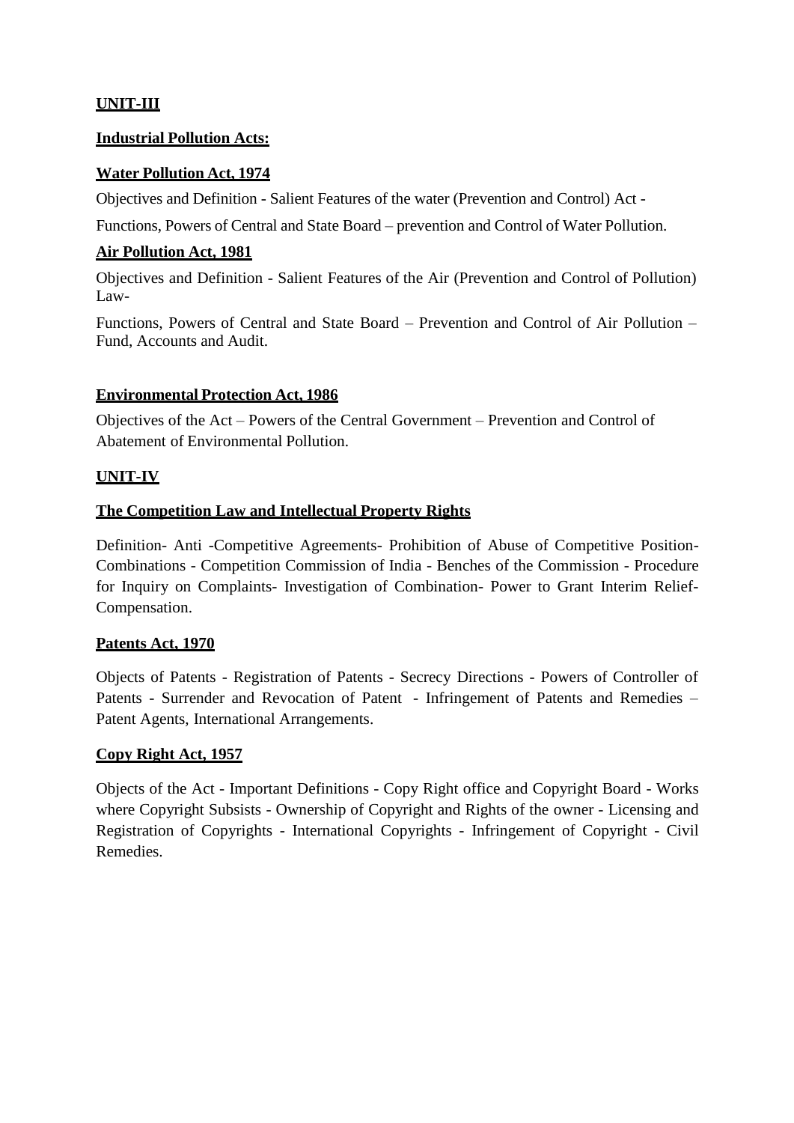## **UNIT-III**

#### **Industrial Pollution Acts:**

## **Water Pollution Act, 1974**

Objectives and Definition - Salient Features of the water (Prevention and Control) Act -

Functions, Powers of Central and State Board – prevention and Control of Water Pollution.

## **Air Pollution Act, 1981**

Objectives and Definition - Salient Features of the Air (Prevention and Control of Pollution) Law-

Functions, Powers of Central and State Board – Prevention and Control of Air Pollution – Fund, Accounts and Audit.

## **Environmental Protection Act, 1986**

Objectives of the Act – Powers of the Central Government – Prevention and Control of Abatement of Environmental Pollution.

## **UNIT-IV**

## **The Competition Law and Intellectual Property Rights**

Definition- Anti -Competitive Agreements- Prohibition of Abuse of Competitive Position-Combinations - Competition Commission of India - Benches of the Commission - Procedure for Inquiry on Complaints- Investigation of Combination- Power to Grant Interim Relief-Compensation.

#### **Patents Act, 1970**

Objects of Patents - Registration of Patents - Secrecy Directions - Powers of Controller of Patents - Surrender and Revocation of Patent - Infringement of Patents and Remedies – Patent Agents, International Arrangements.

#### **Copy Right Act, 1957**

Objects of the Act - Important Definitions - Copy Right office and Copyright Board - Works where Copyright Subsists - Ownership of Copyright and Rights of the owner - Licensing and Registration of Copyrights - International Copyrights - Infringement of Copyright - Civil Remedies.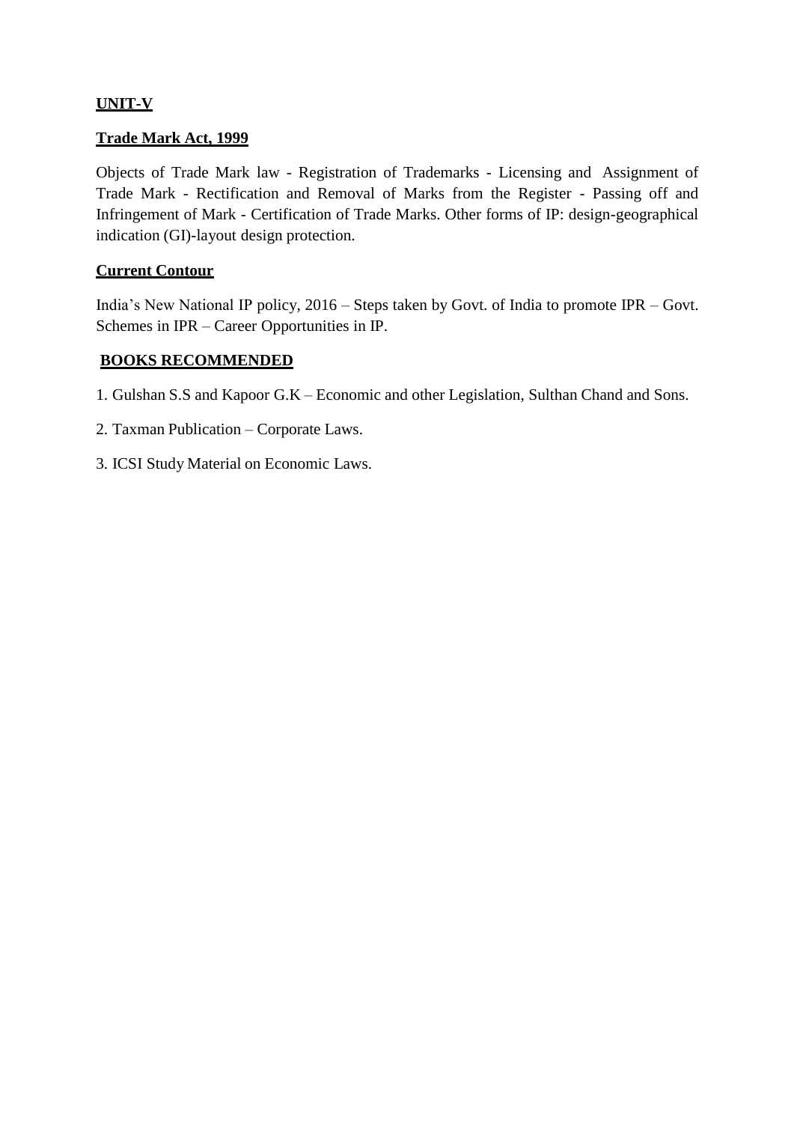## **UNIT-V**

### **Trade Mark Act, 1999**

Objects of Trade Mark law - Registration of Trademarks - Licensing and Assignment of Trade Mark - Rectification and Removal of Marks from the Register - Passing off and Infringement of Mark - Certification of Trade Marks. Other forms of IP: design-geographical indication (GI)-layout design protection.

## **Current Contour**

India's New National IP policy, 2016 – Steps taken by Govt. of India to promote IPR – Govt. Schemes in IPR – Career Opportunities in IP.

#### **BOOKS RECOMMENDED**

- 1. Gulshan S.S and Kapoor G.K Economic and other Legislation, Sulthan Chand and Sons.
- 2. Taxman Publication Corporate Laws.
- 3. ICSI Study Material on Economic Laws.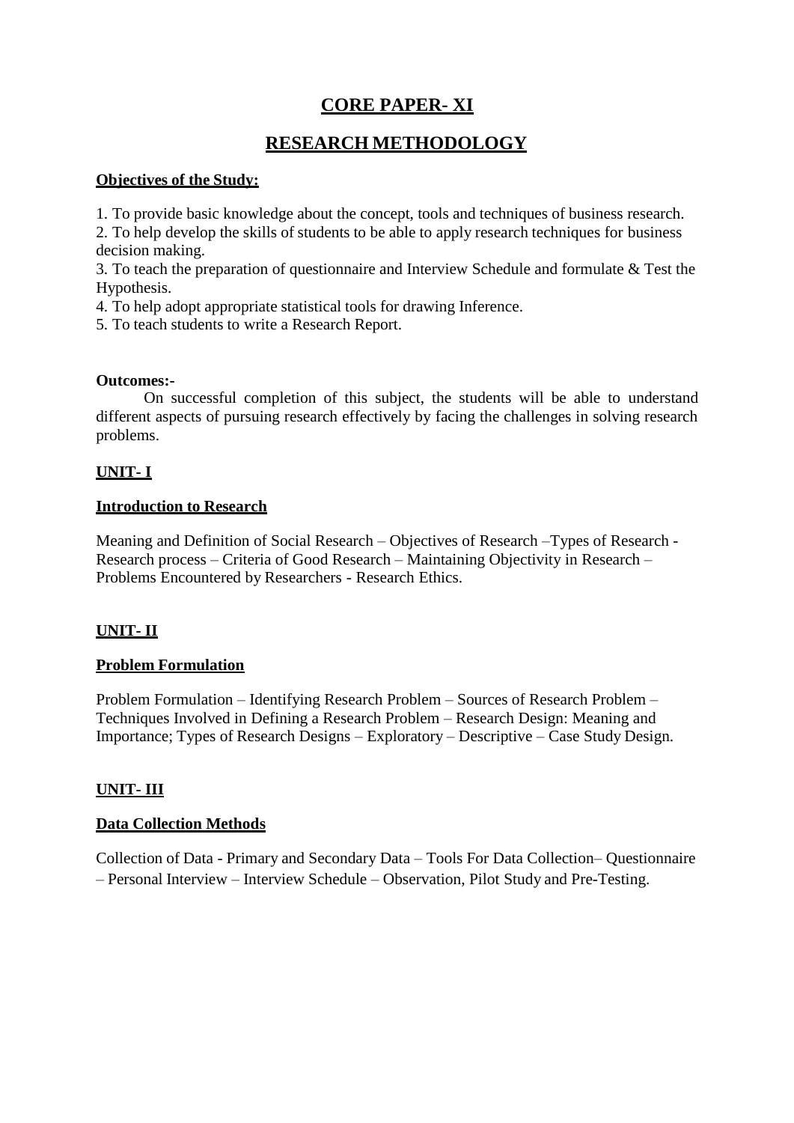# **CORE PAPER- XI**

## **RESEARCH METHODOLOGY**

## **Objectives of the Study:**

1. To provide basic knowledge about the concept, tools and techniques of business research.

2. To help develop the skills of students to be able to apply research techniques for business decision making.

3. To teach the preparation of questionnaire and Interview Schedule and formulate & Test the Hypothesis.

4. To help adopt appropriate statistical tools for drawing Inference.

5. To teach students to write a Research Report.

#### **Outcomes:-**

On successful completion of this subject, the students will be able to understand different aspects of pursuing research effectively by facing the challenges in solving research problems.

## **UNIT- I**

#### **Introduction to Research**

Meaning and Definition of Social Research – Objectives of Research –Types of Research - Research process – Criteria of Good Research – Maintaining Objectivity in Research – Problems Encountered by Researchers - Research Ethics.

## **UNIT- II**

## **Problem Formulation**

Problem Formulation – Identifying Research Problem – Sources of Research Problem – Techniques Involved in Defining a Research Problem – Research Design: Meaning and Importance; Types of Research Designs – Exploratory – Descriptive – Case Study Design.

## **UNIT- III**

## **Data Collection Methods**

Collection of Data - Primary and Secondary Data – Tools For Data Collection– Questionnaire – Personal Interview – Interview Schedule – Observation, Pilot Study and Pre-Testing.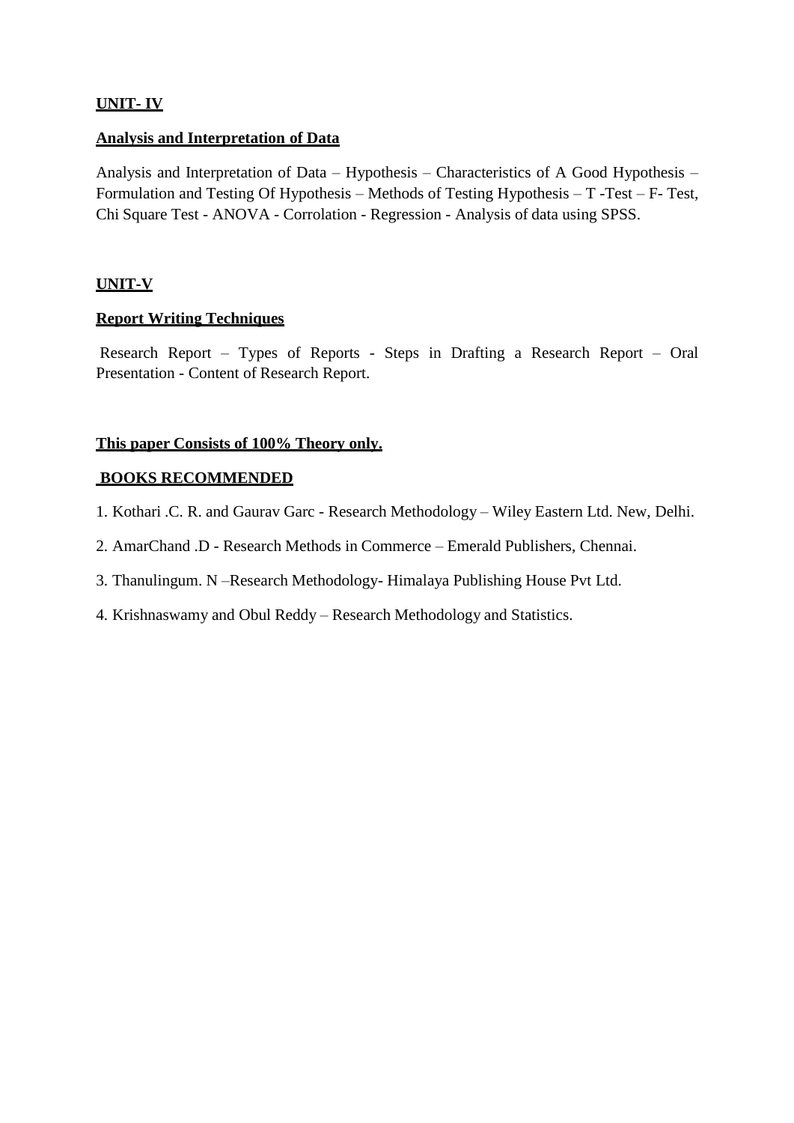## **UNIT- IV**

#### **Analysis and Interpretation of Data**

Analysis and Interpretation of Data – Hypothesis – Characteristics of A Good Hypothesis – Formulation and Testing Of Hypothesis – Methods of Testing Hypothesis – T -Test – F- Test, Chi Square Test - ANOVA - Corrolation - Regression - Analysis of data using SPSS.

## **UNIT-V**

## **Report Writing Techniques**

Research Report – Types of Reports - Steps in Drafting a Research Report – Oral Presentation - Content of Research Report.

## **This paper Consists of 100% Theory only.**

#### **BOOKS RECOMMENDED**

- 1. Kothari .C. R. and Gaurav Garc Research Methodology Wiley Eastern Ltd. New, Delhi.
- 2. AmarChand .D Research Methods in Commerce Emerald Publishers, Chennai.
- 3. Thanulingum. N –Research Methodology- Himalaya Publishing House Pvt Ltd.
- 4. Krishnaswamy and Obul Reddy Research Methodology and Statistics.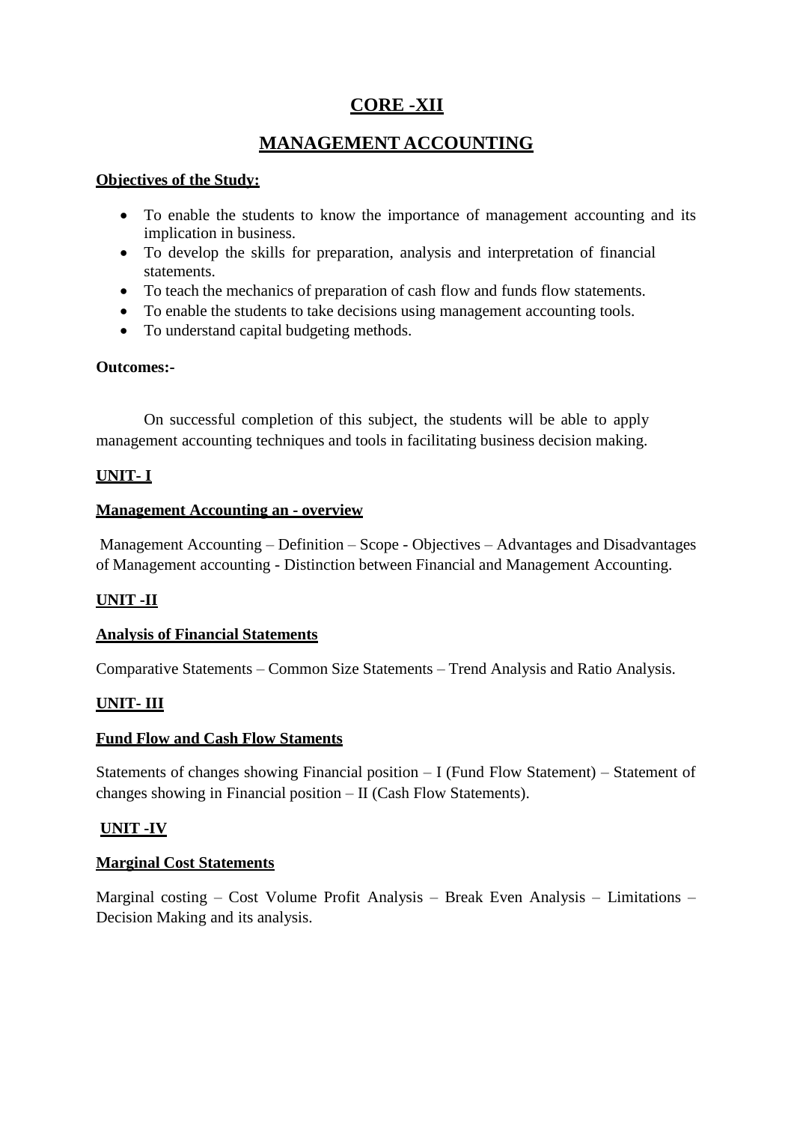# **CORE -XII**

# **MANAGEMENT ACCOUNTING**

## **Objectives of the Study:**

- To enable the students to know the importance of management accounting and its implication in business.
- To develop the skills for preparation, analysis and interpretation of financial statements.
- To teach the mechanics of preparation of cash flow and funds flow statements.
- To enable the students to take decisions using management accounting tools.
- To understand capital budgeting methods.

## **Outcomes:-**

On successful completion of this subject, the students will be able to apply management accounting techniques and tools in facilitating business decision making.

## **UNIT- I**

## **Management Accounting an - overview**

Management Accounting – Definition – Scope - Objectives – Advantages and Disadvantages of Management accounting - Distinction between Financial and Management Accounting.

## **UNIT -II**

## **Analysis of Financial Statements**

Comparative Statements – Common Size Statements – Trend Analysis and Ratio Analysis.

## **UNIT- III**

## **Fund Flow and Cash Flow Staments**

Statements of changes showing Financial position – I (Fund Flow Statement) – Statement of changes showing in Financial position – II (Cash Flow Statements).

## **UNIT -IV**

## **Marginal Cost Statements**

Marginal costing – Cost Volume Profit Analysis – Break Even Analysis – Limitations – Decision Making and its analysis.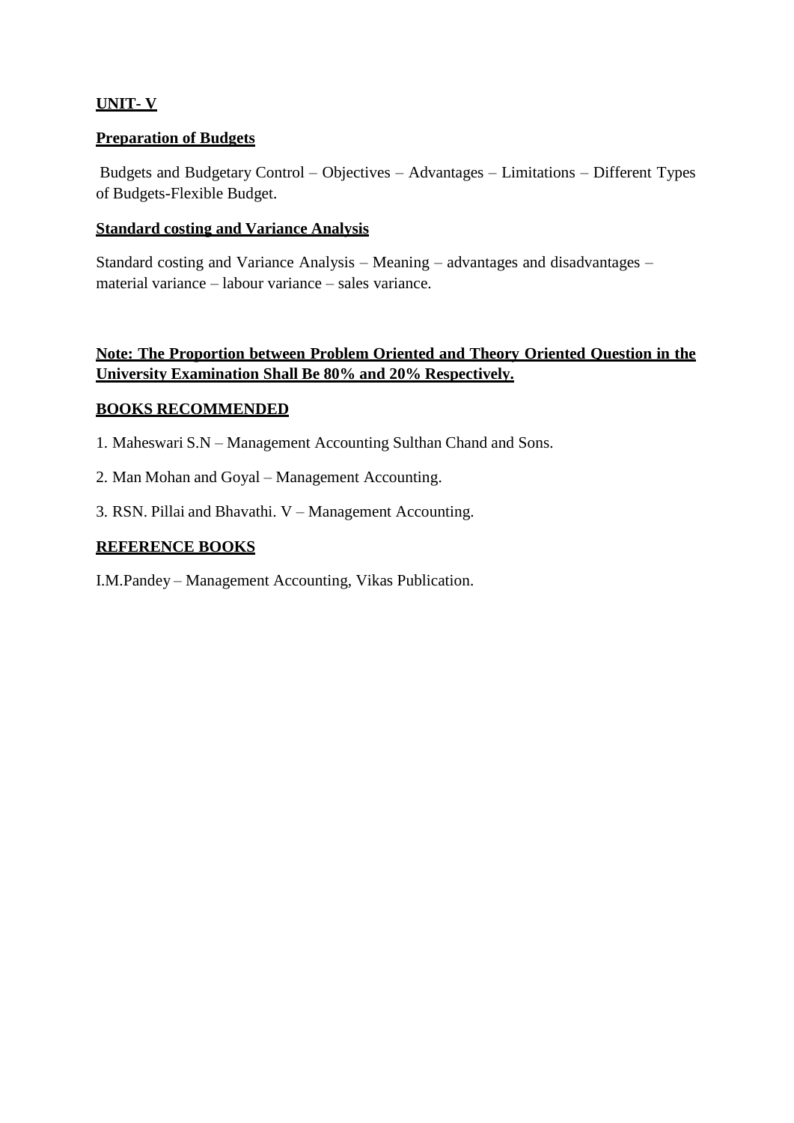## **UNIT- V**

## **Preparation of Budgets**

Budgets and Budgetary Control – Objectives – Advantages – Limitations – Different Types of Budgets-Flexible Budget.

#### **Standard costing and Variance Analysis**

Standard costing and Variance Analysis – Meaning – advantages and disadvantages – material variance – labour variance – sales variance.

## **Note: The Proportion between Problem Oriented and Theory Oriented Question in the University Examination Shall Be 80% and 20% Respectively.**

#### **BOOKS RECOMMENDED**

- 1. Maheswari S.N Management Accounting Sulthan Chand and Sons.
- 2. Man Mohan and Goyal Management Accounting.
- 3. RSN. Pillai and Bhavathi. V Management Accounting.

#### **REFERENCE BOOKS**

I.M.Pandey – Management Accounting, Vikas Publication.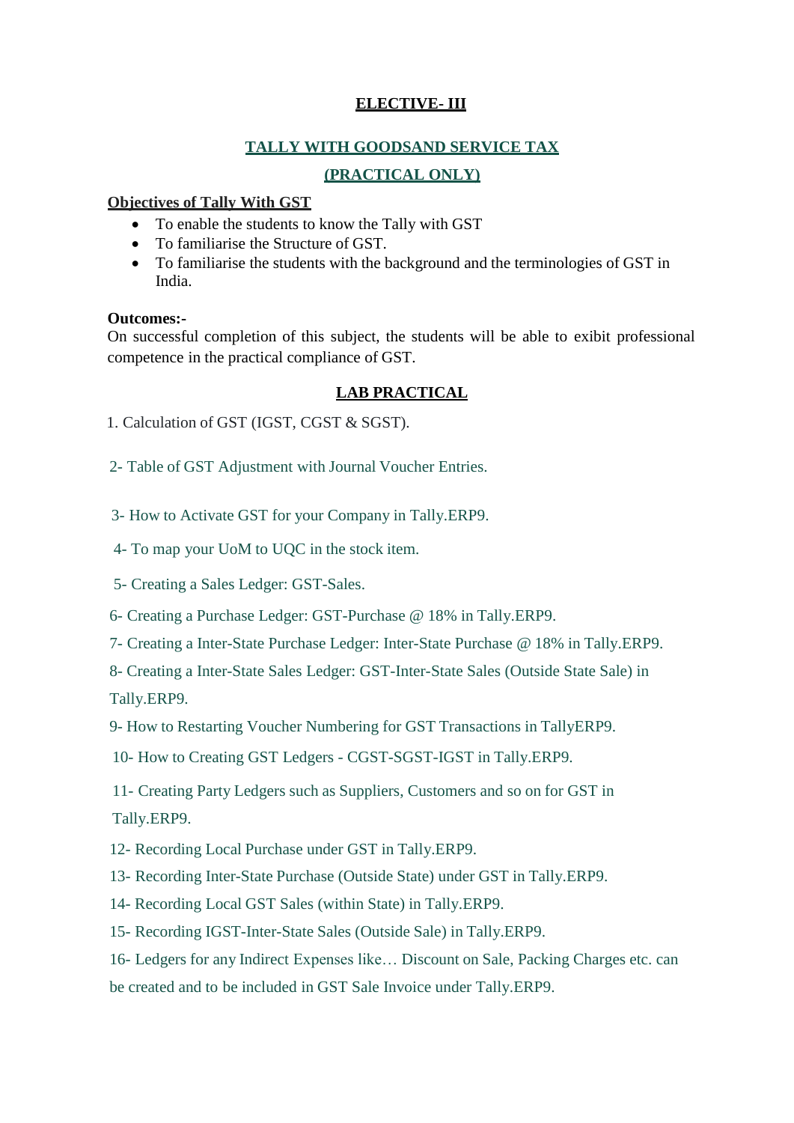## **ELECTIVE- III**

## **TALLY WITH GOODSAND SERVICE TAX**

## **(PRACTICAL ONLY)**

## **Objectives of Tally With GST**

- To enable the students to know the Tally with GST
- To familiarise the Structure of GST.
- To familiarise the students with the background and the terminologies of GST in India.

## **Outcomes:-**

On successful completion of this subject, the students will be able to exibit professional competence in the practical compliance of GST.

## **LAB PRACTICAL**

1. Calculation of GST (IGST, CGST & SGST).

2- Table of GST Adjustment with Journal Voucher Entries.

- 3- How to Activate GST for your Company in Tally.ERP9.
- 4- To map your UoM to UQC in the stock item.
- 5- Creating a Sales Ledger: GST-Sales.
- 6- Creating a Purchase Ledger: GST-Purchase @ 18% in Tally.ERP9.
- 7- Creating a Inter-State Purchase Ledger: Inter-State Purchase @ 18% in Tally.ERP9.

8- Creating a Inter-State Sales Ledger: GST-Inter-State Sales (Outside State Sale) in Tally.ERP9.

9- How to Restarting Voucher Numbering for GST Transactions in TallyERP9.

10- How to Creating GST Ledgers - CGST-SGST-IGST in Tally.ERP9.

11- Creating Party Ledgers such as Suppliers, Customers and so on for GST in Tally.ERP9.

12- Recording Local Purchase under GST in Tally.ERP9.

13- Recording Inter-State Purchase (Outside State) under GST in Tally.ERP9.

- 14- Recording Local GST Sales (within State) in Tally.ERP9.
- 15- Recording IGST-Inter-State Sales (Outside Sale) in Tally.ERP9.

16- Ledgers for any Indirect Expenses like… Discount on Sale, Packing Charges etc. can be created and to be included in GST Sale Invoice under Tally.ERP9.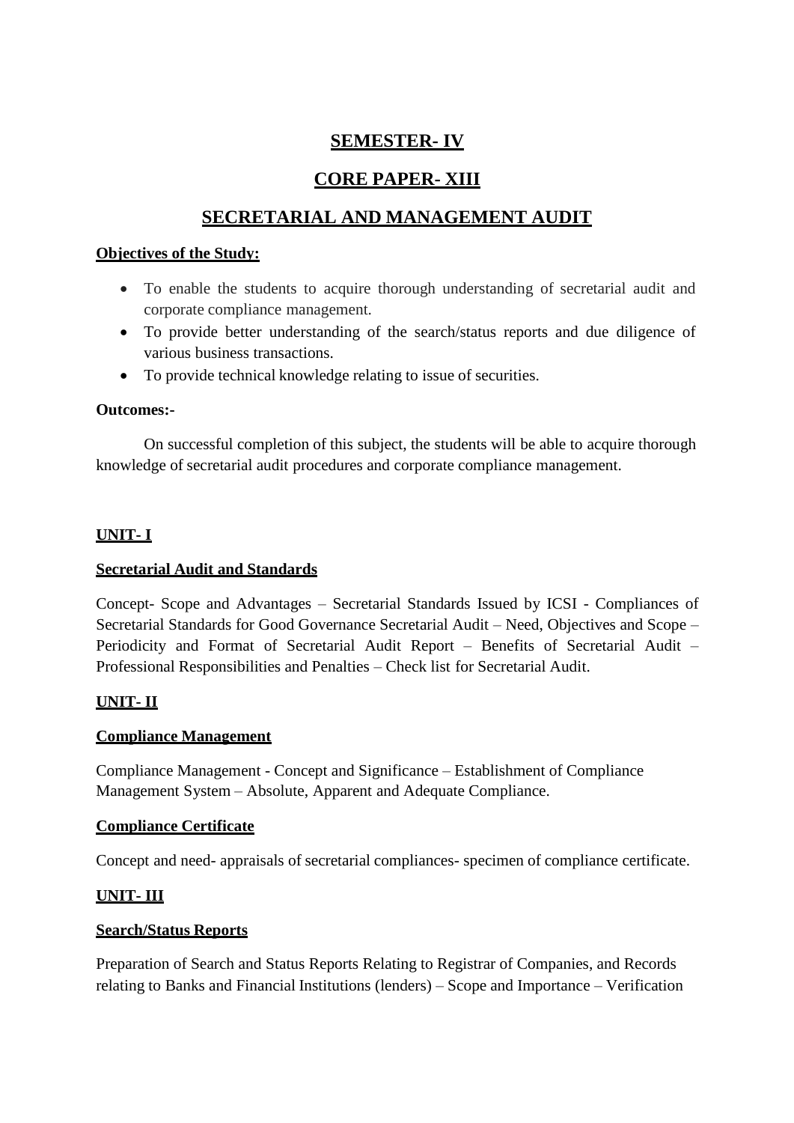## **SEMESTER- IV**

# **CORE PAPER- XIII**

# **SECRETARIAL AND MANAGEMENT AUDIT**

## **Objectives of the Study:**

- To enable the students to acquire thorough understanding of secretarial audit and corporate compliance management.
- To provide better understanding of the search/status reports and due diligence of various business transactions.
- To provide technical knowledge relating to issue of securities.

## **Outcomes:-**

On successful completion of this subject, the students will be able to acquire thorough knowledge of secretarial audit procedures and corporate compliance management.

## **UNIT- I**

## **Secretarial Audit and Standards**

Concept- Scope and Advantages – Secretarial Standards Issued by ICSI - Compliances of Secretarial Standards for Good Governance Secretarial Audit – Need, Objectives and Scope – Periodicity and Format of Secretarial Audit Report – Benefits of Secretarial Audit – Professional Responsibilities and Penalties – Check list for Secretarial Audit.

## **UNIT- II**

## **Compliance Management**

Compliance Management - Concept and Significance – Establishment of Compliance Management System – Absolute, Apparent and Adequate Compliance.

## **Compliance Certificate**

Concept and need- appraisals of secretarial compliances- specimen of compliance certificate.

## **UNIT- III**

## **Search/Status Reports**

Preparation of Search and Status Reports Relating to Registrar of Companies, and Records relating to Banks and Financial Institutions (lenders) – Scope and Importance – Verification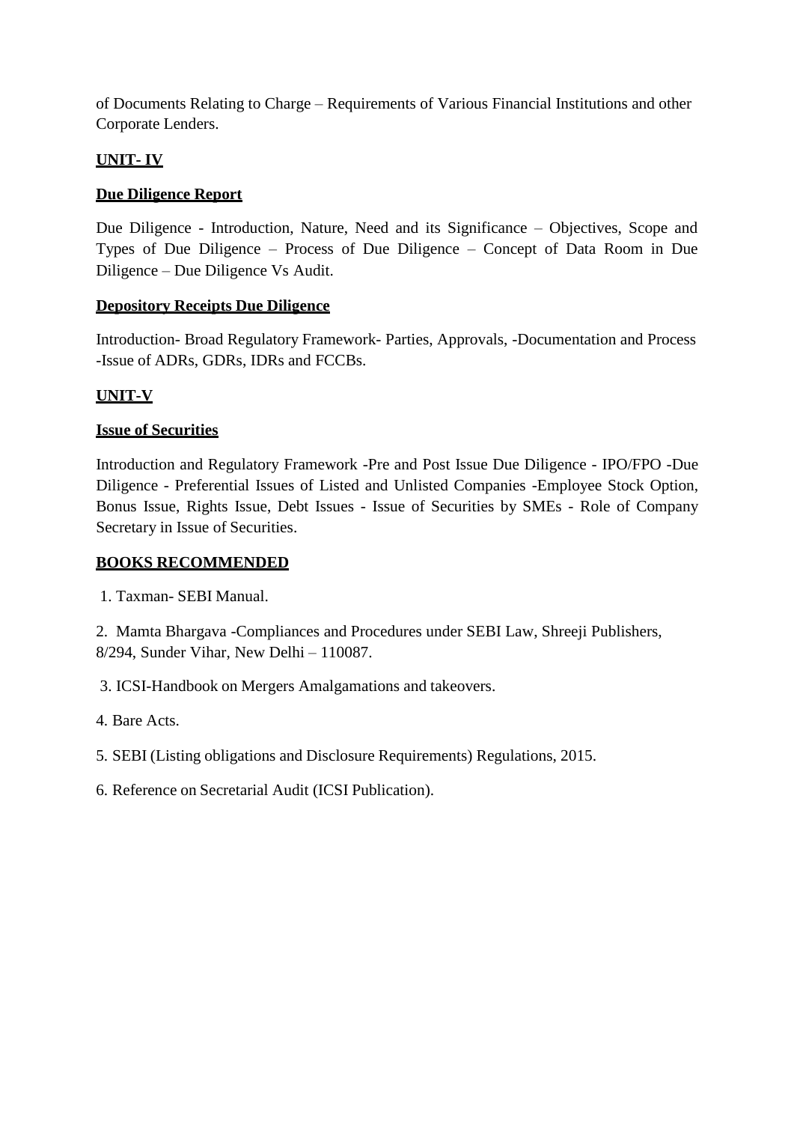of Documents Relating to Charge – Requirements of Various Financial Institutions and other Corporate Lenders.

## **UNIT- IV**

## **Due Diligence Report**

Due Diligence - Introduction, Nature, Need and its Significance – Objectives, Scope and Types of Due Diligence – Process of Due Diligence – Concept of Data Room in Due Diligence – Due Diligence Vs Audit.

## **Depository Receipts Due Diligence**

Introduction- Broad Regulatory Framework- Parties, Approvals, -Documentation and Process -Issue of ADRs, GDRs, IDRs and FCCBs.

## **UNIT-V**

## **Issue of Securities**

Introduction and Regulatory Framework -Pre and Post Issue Due Diligence - IPO/FPO -Due Diligence - Preferential Issues of Listed and Unlisted Companies -Employee Stock Option, Bonus Issue, Rights Issue, Debt Issues - Issue of Securities by SMEs - Role of Company Secretary in Issue of Securities.

## **BOOKS RECOMMENDED**

1. Taxman- SEBI Manual.

2. Mamta Bhargava -Compliances and Procedures under SEBI Law, Shreeji Publishers, 8/294, Sunder Vihar, New Delhi – 110087.

3. ICSI-Handbook on Mergers Amalgamations and takeovers.

4. Bare Acts.

5. SEBI (Listing obligations and Disclosure Requirements) Regulations, 2015.

6. Reference on Secretarial Audit (ICSI Publication).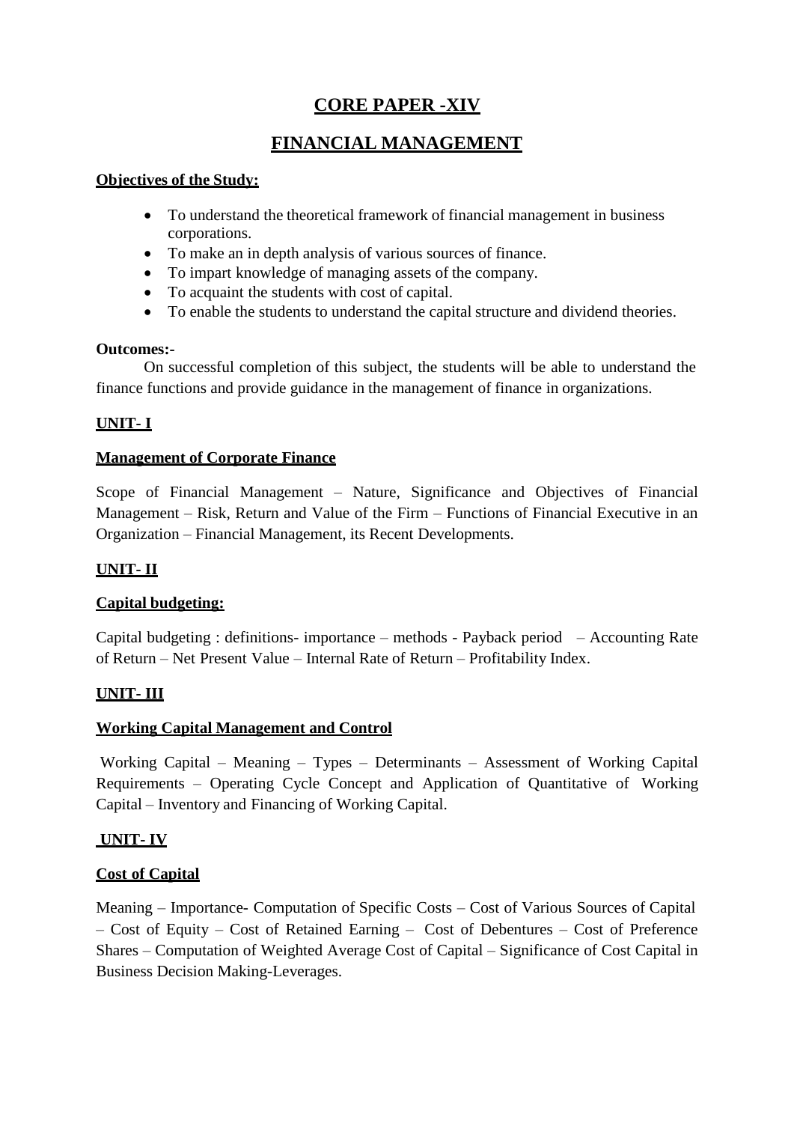# **CORE PAPER -XIV**

# **FINANCIAL MANAGEMENT**

## **Objectives of the Study:**

- To understand the theoretical framework of financial management in business corporations.
- To make an in depth analysis of various sources of finance.
- To impart knowledge of managing assets of the company.
- To acquaint the students with cost of capital.
- To enable the students to understand the capital structure and dividend theories.

#### **Outcomes:-**

On successful completion of this subject, the students will be able to understand the finance functions and provide guidance in the management of finance in organizations.

## **UNIT- I**

## **Management of Corporate Finance**

Scope of Financial Management – Nature, Significance and Objectives of Financial Management – Risk, Return and Value of the Firm – Functions of Financial Executive in an Organization – Financial Management, its Recent Developments.

## **UNIT- II**

## **Capital budgeting:**

Capital budgeting : definitions- importance – methods - Payback period – Accounting Rate of Return – Net Present Value – Internal Rate of Return – Profitability Index.

## **UNIT- III**

## **Working Capital Management and Control**

Working Capital – Meaning – Types – Determinants – Assessment of Working Capital Requirements – Operating Cycle Concept and Application of Quantitative of Working Capital – Inventory and Financing of Working Capital.

## **UNIT- IV**

## **Cost of Capital**

Meaning – Importance- Computation of Specific Costs – Cost of Various Sources of Capital – Cost of Equity – Cost of Retained Earning – Cost of Debentures – Cost of Preference Shares – Computation of Weighted Average Cost of Capital – Significance of Cost Capital in Business Decision Making-Leverages.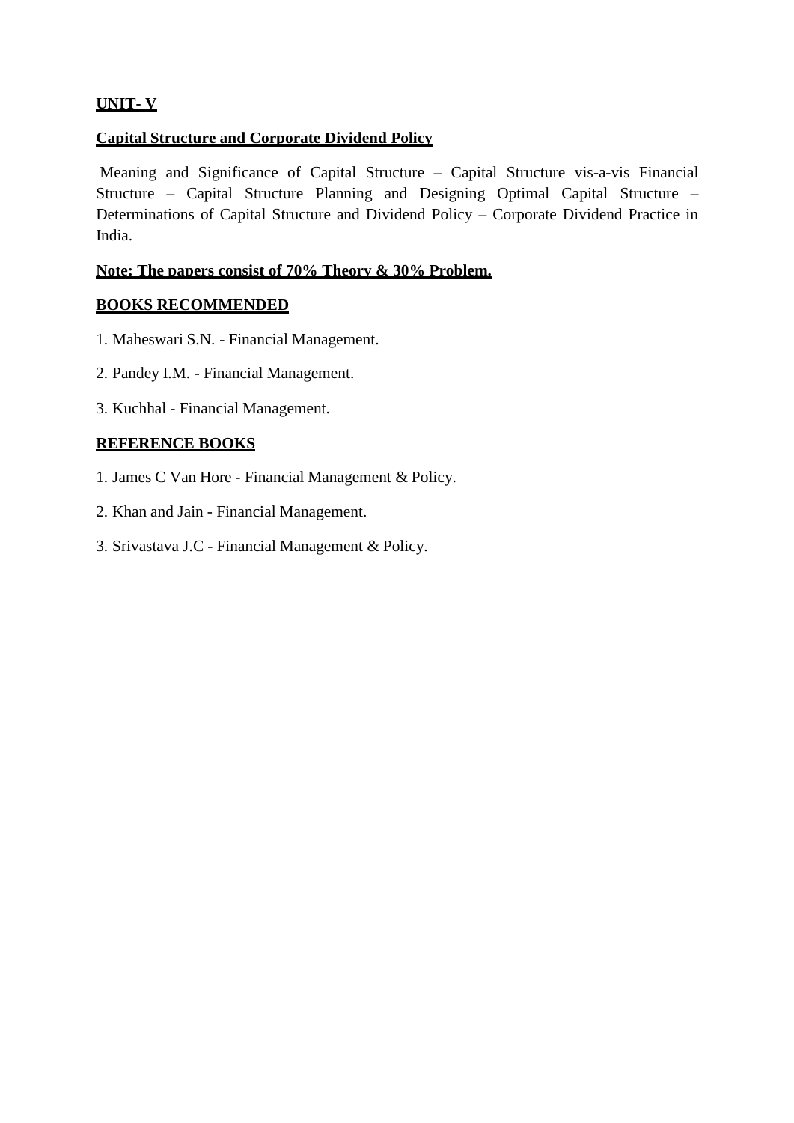## **UNIT- V**

### **Capital Structure and Corporate Dividend Policy**

Meaning and Significance of Capital Structure – Capital Structure vis-a-vis Financial Structure – Capital Structure Planning and Designing Optimal Capital Structure – Determinations of Capital Structure and Dividend Policy – Corporate Dividend Practice in India.

### **Note: The papers consist of 70% Theory & 30% Problem.**

#### **BOOKS RECOMMENDED**

- 1. Maheswari S.N. Financial Management.
- 2. Pandey I.M. Financial Management.
- 3. Kuchhal Financial Management.

#### **REFERENCE BOOKS**

- 1. James C Van Hore Financial Management & Policy.
- 2. Khan and Jain Financial Management.
- 3. Srivastava J.C Financial Management & Policy.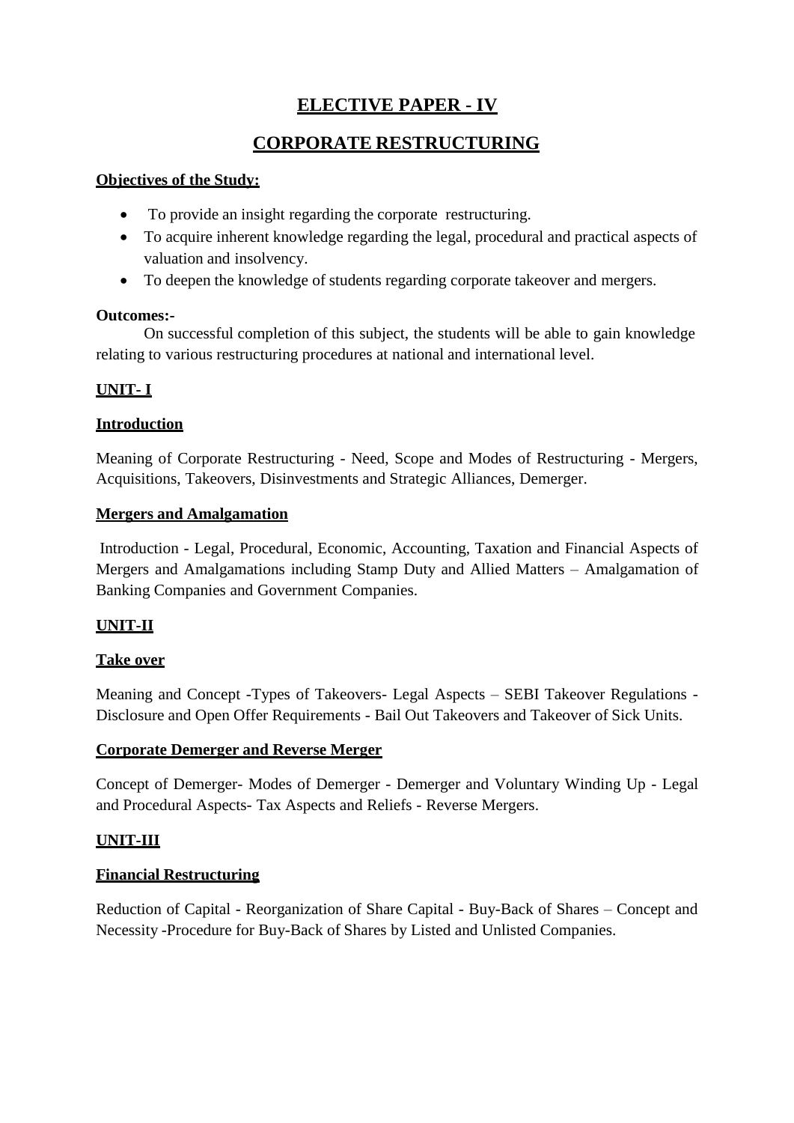# **ELECTIVE PAPER - IV**

# **CORPORATE RESTRUCTURING**

## **Objectives of the Study:**

- To provide an insight regarding the corporate restructuring.
- To acquire inherent knowledge regarding the legal, procedural and practical aspects of valuation and insolvency.
- To deepen the knowledge of students regarding corporate takeover and mergers.

## **Outcomes:-**

On successful completion of this subject, the students will be able to gain knowledge relating to various restructuring procedures at national and international level.

## **UNIT- I**

## **Introduction**

Meaning of Corporate Restructuring - Need, Scope and Modes of Restructuring - Mergers, Acquisitions, Takeovers, Disinvestments and Strategic Alliances, Demerger.

## **Mergers and Amalgamation**

Introduction - Legal, Procedural, Economic, Accounting, Taxation and Financial Aspects of Mergers and Amalgamations including Stamp Duty and Allied Matters – Amalgamation of Banking Companies and Government Companies.

## **UNIT-II**

## **Take over**

Meaning and Concept -Types of Takeovers- Legal Aspects – SEBI Takeover Regulations - Disclosure and Open Offer Requirements - Bail Out Takeovers and Takeover of Sick Units.

## **Corporate Demerger and Reverse Merger**

Concept of Demerger- Modes of Demerger - Demerger and Voluntary Winding Up - Legal and Procedural Aspects- Tax Aspects and Reliefs - Reverse Mergers.

## **UNIT-III**

## **Financial Restructuring**

Reduction of Capital - Reorganization of Share Capital - Buy-Back of Shares – Concept and Necessity -Procedure for Buy-Back of Shares by Listed and Unlisted Companies.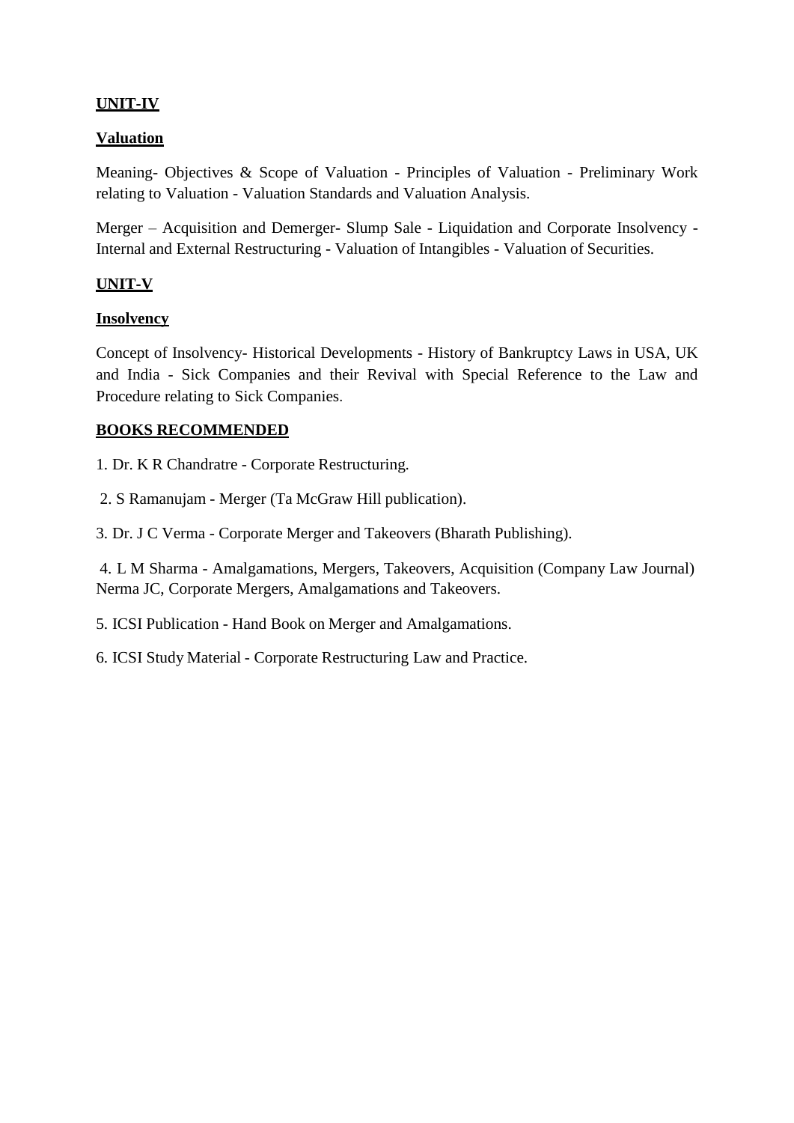## **UNIT-IV**

## **Valuation**

Meaning- Objectives & Scope of Valuation - Principles of Valuation - Preliminary Work relating to Valuation - Valuation Standards and Valuation Analysis.

Merger – Acquisition and Demerger- Slump Sale - Liquidation and Corporate Insolvency - Internal and External Restructuring - Valuation of Intangibles - Valuation of Securities.

## **UNIT-V**

#### **Insolvency**

Concept of Insolvency- Historical Developments - History of Bankruptcy Laws in USA, UK and India - Sick Companies and their Revival with Special Reference to the Law and Procedure relating to Sick Companies.

#### **BOOKS RECOMMENDED**

1. Dr. K R Chandratre - Corporate Restructuring.

2. S Ramanujam - Merger (Ta McGraw Hill publication).

3. Dr. J C Verma - Corporate Merger and Takeovers (Bharath Publishing).

4. L M Sharma - Amalgamations, Mergers, Takeovers, Acquisition (Company Law Journal) Nerma JC, Corporate Mergers, Amalgamations and Takeovers.

5. ICSI Publication - Hand Book on Merger and Amalgamations.

6. ICSI Study Material - Corporate Restructuring Law and Practice.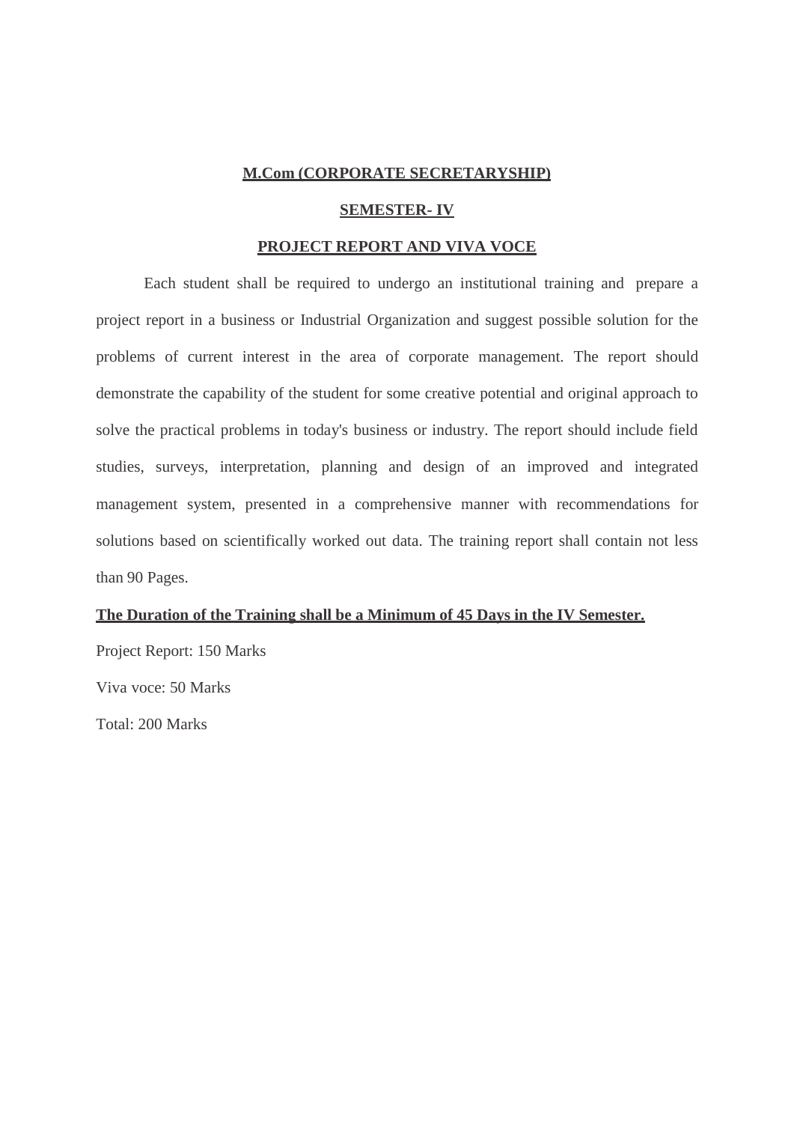#### **M.Com (CORPORATE SECRETARYSHIP)**

#### **SEMESTER- IV**

#### **PROJECT REPORT AND VIVA VOCE**

Each student shall be required to undergo an institutional training and prepare a project report in a business or Industrial Organization and suggest possible solution for the problems of current interest in the area of corporate management. The report should demonstrate the capability of the student for some creative potential and original approach to solve the practical problems in today's business or industry. The report should include field studies, surveys, interpretation, planning and design of an improved and integrated management system, presented in a comprehensive manner with recommendations for solutions based on scientifically worked out data. The training report shall contain not less than 90 Pages.

#### **The Duration of the Training shall be a Minimum of 45 Days in the IV Semester.**

Project Report: 150 Marks Viva voce: 50 Marks Total: 200 Marks